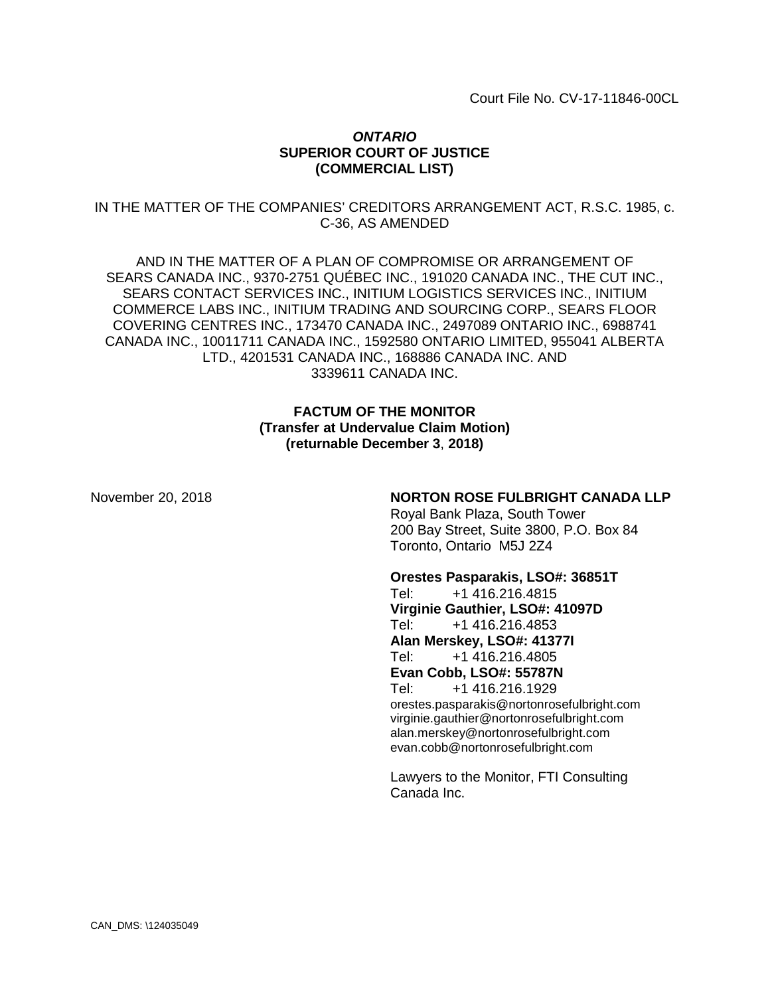Court File No. CV-17-11846-00CL

#### *ONTARIO* **SUPERIOR COURT OF JUSTICE (COMMERCIAL LIST)**

IN THE MATTER OF THE COMPANIES' CREDITORS ARRANGEMENT ACT, R.S.C. 1985, c. C-36, AS AMENDED

AND IN THE MATTER OF A PLAN OF COMPROMISE OR ARRANGEMENT OF SEARS CANADA INC., 9370-2751 QUÉBEC INC., 191020 CANADA INC., THE CUT INC., SEARS CONTACT SERVICES INC., INITIUM LOGISTICS SERVICES INC., INITIUM COMMERCE LABS INC., INITIUM TRADING AND SOURCING CORP., SEARS FLOOR COVERING CENTRES INC., 173470 CANADA INC., 2497089 ONTARIO INC., 6988741 CANADA INC., 10011711 CANADA INC., 1592580 ONTARIO LIMITED, 955041 ALBERTA LTD., 4201531 CANADA INC., 168886 CANADA INC. AND 3339611 CANADA INC.

#### **FACTUM OF THE MONITOR (Transfer at Undervalue Claim Motion) (returnable December 3**, **2018)**

#### November 20, 2018 **NORTON ROSE FULBRIGHT CANADA LLP**

Royal Bank Plaza, South Tower 200 Bay Street, Suite 3800, P.O. Box 84 Toronto, Ontario M5J 2Z4

#### **Orestes Pasparakis, LSO#: 36851T**

Tel: +1 416.216.4815 **Virginie Gauthier, LSO#: 41097D** Tel: +1 416.216.4853 **Alan Merskey, LSO#: 41377I** Tel: +1 416.216.4805 **Evan Cobb, LSO#: 55787N** Tel: +1 416.216.1929 orestes.pasparakis@nortonrosefulbright.com virginie.gauthier@nortonrosefulbright.com alan.merskey@nortonrosefulbright.com evan.cobb@nortonrosefulbright.com

Lawyers to the Monitor, FTI Consulting Canada Inc.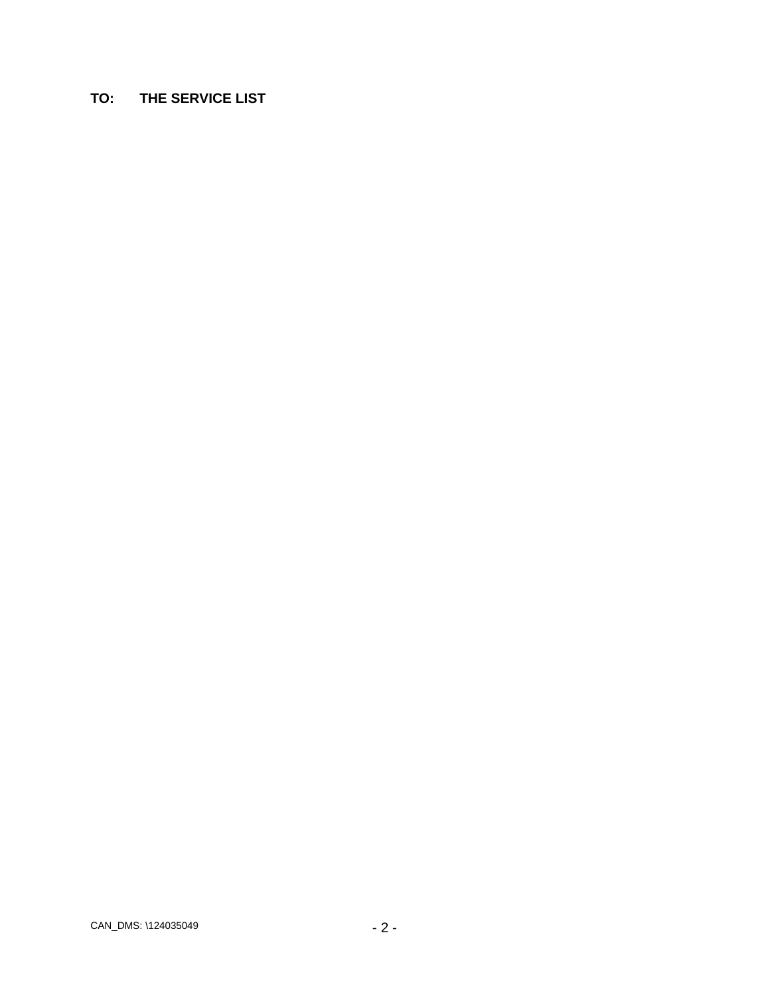# **TO: THE SERVICE LIST**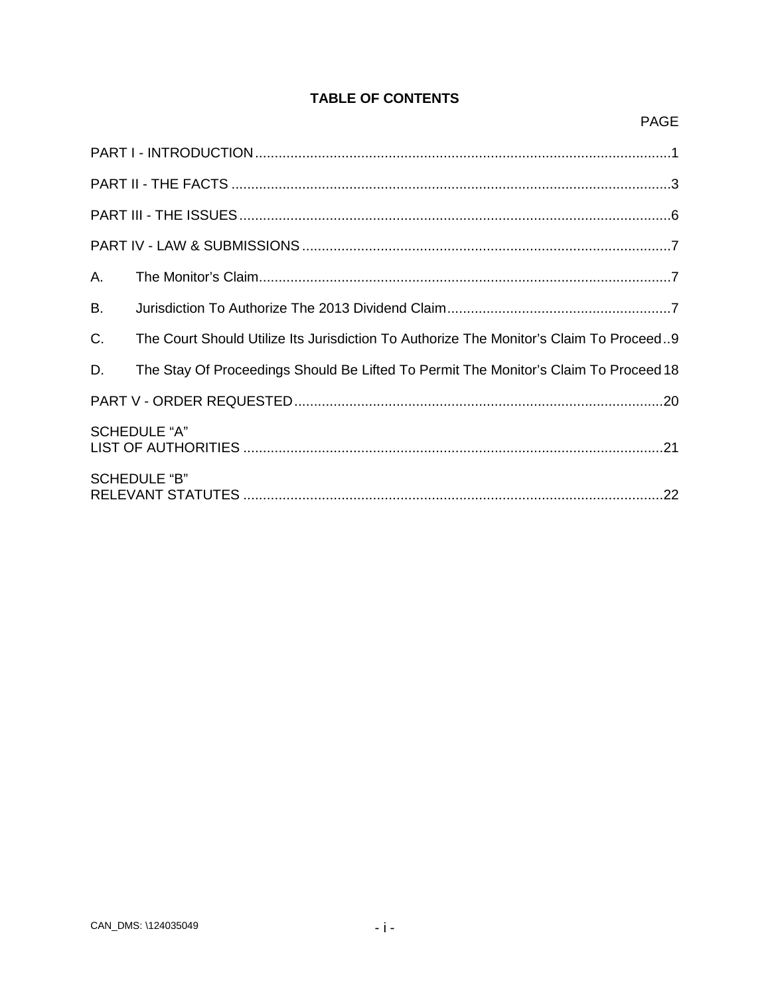# **TABLE OF CONTENTS**

| А.                  |                                                                                        |  |  |  |
|---------------------|----------------------------------------------------------------------------------------|--|--|--|
| <b>B.</b>           |                                                                                        |  |  |  |
| $C_{\cdot}$         | The Court Should Utilize Its Jurisdiction To Authorize The Monitor's Claim To Proceed9 |  |  |  |
| D.                  | The Stay Of Proceedings Should Be Lifted To Permit The Monitor's Claim To Proceed 18   |  |  |  |
|                     |                                                                                        |  |  |  |
| <b>SCHEDULE "A"</b> |                                                                                        |  |  |  |
| <b>SCHEDULE "B"</b> |                                                                                        |  |  |  |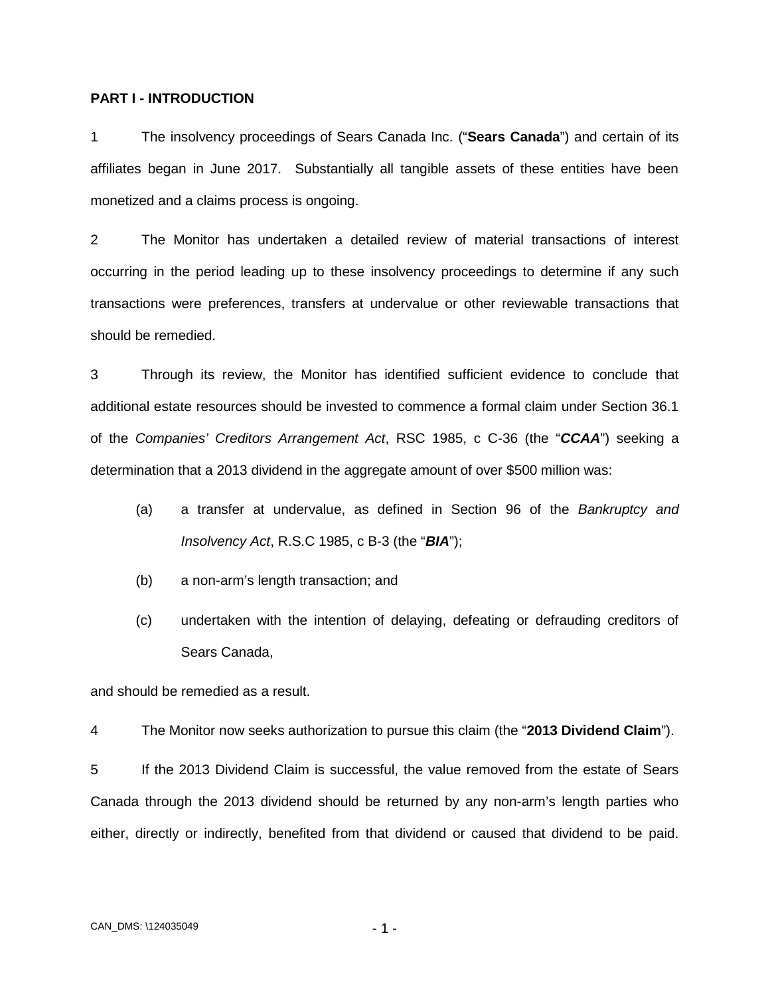#### <span id="page-3-0"></span>**PART I - INTRODUCTION**

1 The insolvency proceedings of Sears Canada Inc. ("**Sears Canada**") and certain of its affiliates began in June 2017. Substantially all tangible assets of these entities have been monetized and a claims process is ongoing.

2 The Monitor has undertaken a detailed review of material transactions of interest occurring in the period leading up to these insolvency proceedings to determine if any such transactions were preferences, transfers at undervalue or other reviewable transactions that should be remedied.

3 Through its review, the Monitor has identified sufficient evidence to conclude that additional estate resources should be invested to commence a formal claim under Section 36.1 of the *Companies' Creditors Arrangement Act*, RSC 1985, c C-36 (the "*CCAA*") seeking a determination that a 2013 dividend in the aggregate amount of over \$500 million was:

- (a) a transfer at undervalue, as defined in Section 96 of the *Bankruptcy and Insolvency Act*, R.S.C 1985, c B-3 (the "*BIA*");
- (b) a non-arm's length transaction; and
- (c) undertaken with the intention of delaying, defeating or defrauding creditors of Sears Canada,

and should be remedied as a result.

4 The Monitor now seeks authorization to pursue this claim (the "**2013 Dividend Claim**").

5 If the 2013 Dividend Claim is successful, the value removed from the estate of Sears Canada through the 2013 dividend should be returned by any non-arm's length parties who either, directly or indirectly, benefited from that dividend or caused that dividend to be paid.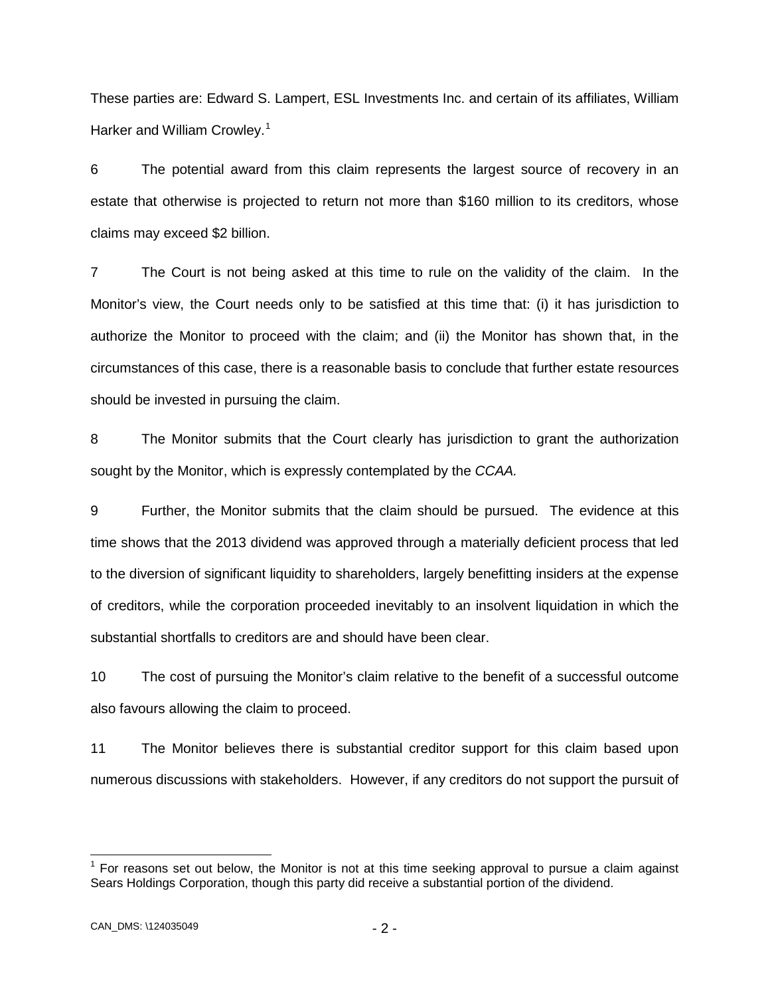These parties are: Edward S. Lampert, ESL Investments Inc. and certain of its affiliates, William Harker and William Crowley.<sup>[1](#page-4-0)</sup>

6 The potential award from this claim represents the largest source of recovery in an estate that otherwise is projected to return not more than \$160 million to its creditors, whose claims may exceed \$2 billion.

7 The Court is not being asked at this time to rule on the validity of the claim. In the Monitor's view, the Court needs only to be satisfied at this time that: (i) it has jurisdiction to authorize the Monitor to proceed with the claim; and (ii) the Monitor has shown that, in the circumstances of this case, there is a reasonable basis to conclude that further estate resources should be invested in pursuing the claim.

8 The Monitor submits that the Court clearly has jurisdiction to grant the authorization sought by the Monitor, which is expressly contemplated by the *CCAA.*

9 Further, the Monitor submits that the claim should be pursued. The evidence at this time shows that the 2013 dividend was approved through a materially deficient process that led to the diversion of significant liquidity to shareholders, largely benefitting insiders at the expense of creditors, while the corporation proceeded inevitably to an insolvent liquidation in which the substantial shortfalls to creditors are and should have been clear.

10 The cost of pursuing the Monitor's claim relative to the benefit of a successful outcome also favours allowing the claim to proceed.

11 The Monitor believes there is substantial creditor support for this claim based upon numerous discussions with stakeholders. However, if any creditors do not support the pursuit of

<span id="page-4-0"></span> $<sup>1</sup>$  For reasons set out below, the Monitor is not at this time seeking approval to pursue a claim against</sup> Sears Holdings Corporation, though this party did receive a substantial portion of the dividend.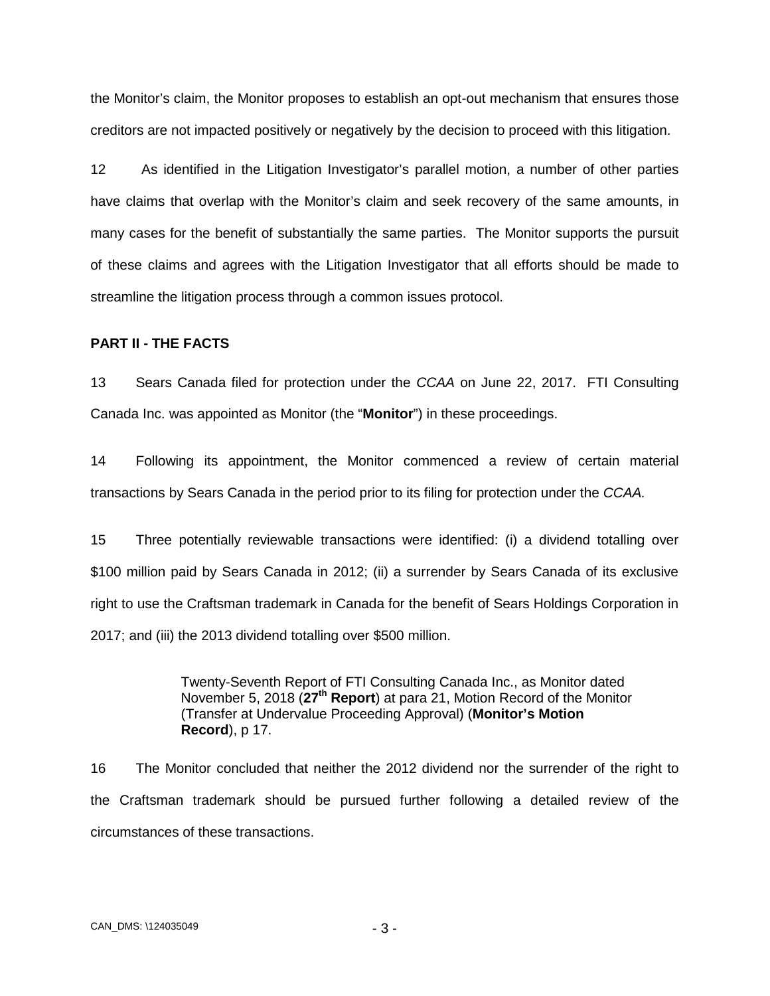the Monitor's claim, the Monitor proposes to establish an opt-out mechanism that ensures those creditors are not impacted positively or negatively by the decision to proceed with this litigation.

12 As identified in the Litigation Investigator's parallel motion, a number of other parties have claims that overlap with the Monitor's claim and seek recovery of the same amounts, in many cases for the benefit of substantially the same parties. The Monitor supports the pursuit of these claims and agrees with the Litigation Investigator that all efforts should be made to streamline the litigation process through a common issues protocol.

#### <span id="page-5-0"></span>**PART II - THE FACTS**

13 Sears Canada filed for protection under the *CCAA* on June 22, 2017. FTI Consulting Canada Inc. was appointed as Monitor (the "**Monitor**") in these proceedings.

14 Following its appointment, the Monitor commenced a review of certain material transactions by Sears Canada in the period prior to its filing for protection under the *CCAA.*

15 Three potentially reviewable transactions were identified: (i) a dividend totalling over \$100 million paid by Sears Canada in 2012; (ii) a surrender by Sears Canada of its exclusive right to use the Craftsman trademark in Canada for the benefit of Sears Holdings Corporation in 2017; and (iii) the 2013 dividend totalling over \$500 million.

> Twenty-Seventh Report of FTI Consulting Canada Inc., as Monitor dated November 5, 2018 (**27th Report**) at para 21, Motion Record of the Monitor (Transfer at Undervalue Proceeding Approval) (**Monitor's Motion Record**), p 17.

16 The Monitor concluded that neither the 2012 dividend nor the surrender of the right to the Craftsman trademark should be pursued further following a detailed review of the circumstances of these transactions.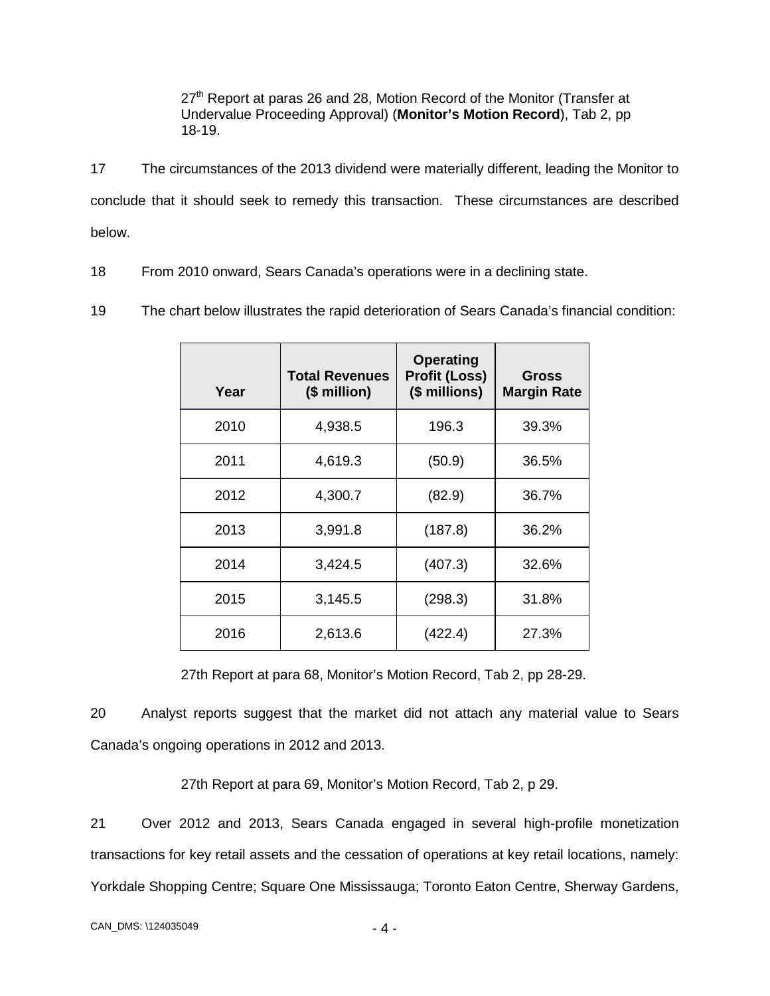27<sup>th</sup> Report at paras 26 and 28, Motion Record of the Monitor (Transfer at Undervalue Proceeding Approval) (**Monitor's Motion Record**), Tab 2, pp 18-19.

17 The circumstances of the 2013 dividend were materially different, leading the Monitor to conclude that it should seek to remedy this transaction. These circumstances are described below.

18 From 2010 onward, Sears Canada's operations were in a declining state.

19 The chart below illustrates the rapid deterioration of Sears Canada's financial condition:

| Year | <b>Total Revenues</b><br>(\$ million) | <b>Operating</b><br><b>Profit (Loss)</b><br>(\$ millions) | Gross<br><b>Margin Rate</b> |
|------|---------------------------------------|-----------------------------------------------------------|-----------------------------|
| 2010 | 4,938.5                               | 196.3                                                     | 39.3%                       |
| 2011 | 4,619.3                               | (50.9)                                                    | 36.5%                       |
| 2012 | 4,300.7                               | (82.9)                                                    | 36.7%                       |
| 2013 | 3,991.8                               | (187.8)                                                   | 36.2%                       |
| 2014 | 3,424.5                               | (407.3)                                                   | 32.6%                       |
| 2015 | 3,145.5                               | (298.3)                                                   | 31.8%                       |
| 2016 | 2,613.6                               | (422.4)                                                   | 27.3%                       |

27th Report at para 68, Monitor's Motion Record, Tab 2, pp 28-29.

20 Analyst reports suggest that the market did not attach any material value to Sears Canada's ongoing operations in 2012 and 2013.

27th Report at para 69, Monitor's Motion Record, Tab 2, p 29.

21 Over 2012 and 2013, Sears Canada engaged in several high-profile monetization transactions for key retail assets and the cessation of operations at key retail locations, namely: Yorkdale Shopping Centre; Square One Mississauga; Toronto Eaton Centre, Sherway Gardens,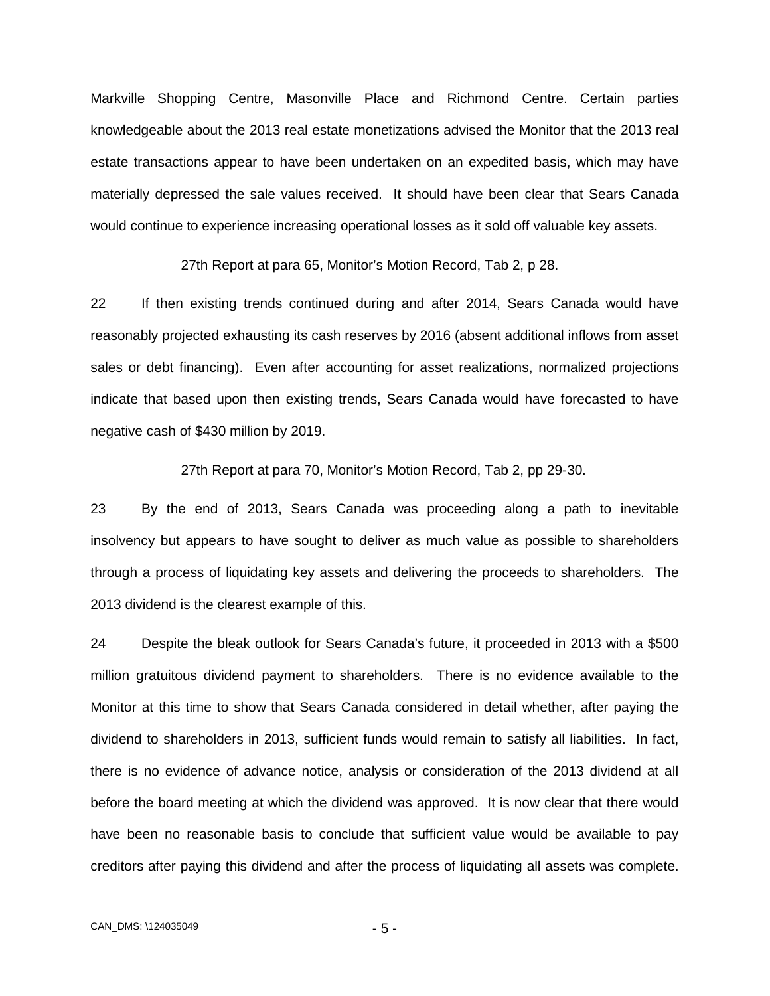Markville Shopping Centre, Masonville Place and Richmond Centre. Certain parties knowledgeable about the 2013 real estate monetizations advised the Monitor that the 2013 real estate transactions appear to have been undertaken on an expedited basis, which may have materially depressed the sale values received. It should have been clear that Sears Canada would continue to experience increasing operational losses as it sold off valuable key assets.

27th Report at para 65, Monitor's Motion Record, Tab 2, p 28.

22 If then existing trends continued during and after 2014, Sears Canada would have reasonably projected exhausting its cash reserves by 2016 (absent additional inflows from asset sales or debt financing). Even after accounting for asset realizations, normalized projections indicate that based upon then existing trends, Sears Canada would have forecasted to have negative cash of \$430 million by 2019.

27th Report at para 70, Monitor's Motion Record, Tab 2, pp 29-30.

23 By the end of 2013, Sears Canada was proceeding along a path to inevitable insolvency but appears to have sought to deliver as much value as possible to shareholders through a process of liquidating key assets and delivering the proceeds to shareholders. The 2013 dividend is the clearest example of this.

24 Despite the bleak outlook for Sears Canada's future, it proceeded in 2013 with a \$500 million gratuitous dividend payment to shareholders. There is no evidence available to the Monitor at this time to show that Sears Canada considered in detail whether, after paying the dividend to shareholders in 2013, sufficient funds would remain to satisfy all liabilities. In fact, there is no evidence of advance notice, analysis or consideration of the 2013 dividend at all before the board meeting at which the dividend was approved. It is now clear that there would have been no reasonable basis to conclude that sufficient value would be available to pay creditors after paying this dividend and after the process of liquidating all assets was complete.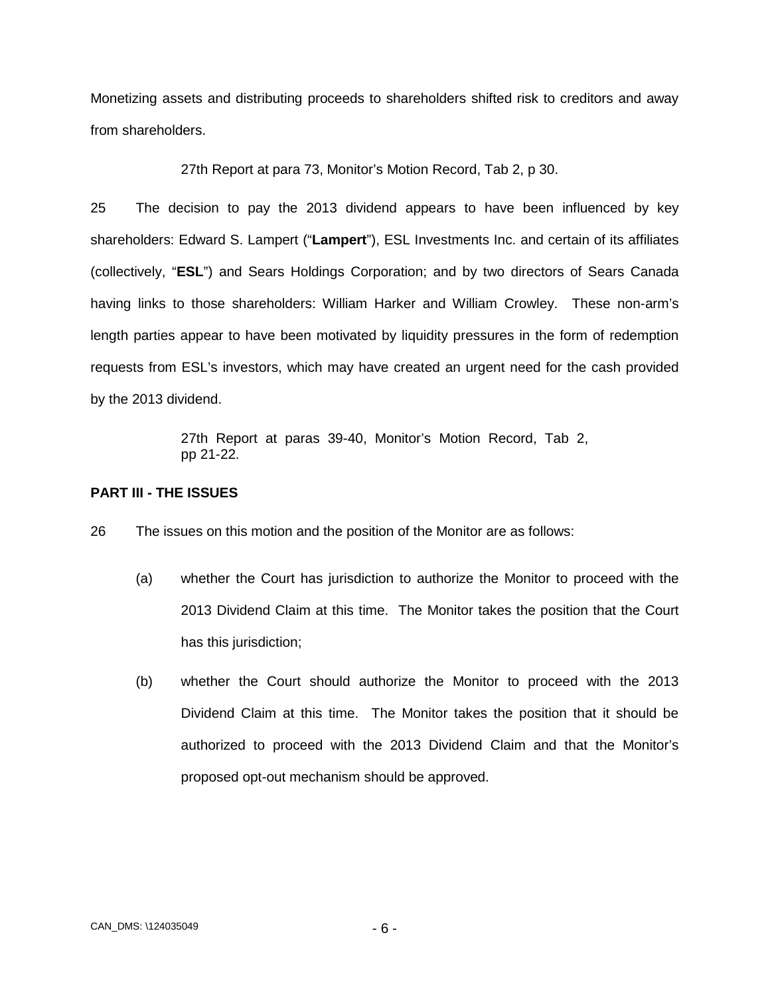Monetizing assets and distributing proceeds to shareholders shifted risk to creditors and away from shareholders.

27th Report at para 73, Monitor's Motion Record, Tab 2, p 30.

25 The decision to pay the 2013 dividend appears to have been influenced by key shareholders: Edward S. Lampert ("**Lampert**"), ESL Investments Inc. and certain of its affiliates (collectively, "**ESL**") and Sears Holdings Corporation; and by two directors of Sears Canada having links to those shareholders: William Harker and William Crowley. These non-arm's length parties appear to have been motivated by liquidity pressures in the form of redemption requests from ESL's investors, which may have created an urgent need for the cash provided by the 2013 dividend.

> 27th Report at paras 39-40, Monitor's Motion Record, Tab 2, pp 21-22.

## <span id="page-8-0"></span>**PART III - THE ISSUES**

26 The issues on this motion and the position of the Monitor are as follows:

- (a) whether the Court has jurisdiction to authorize the Monitor to proceed with the 2013 Dividend Claim at this time. The Monitor takes the position that the Court has this jurisdiction;
- (b) whether the Court should authorize the Monitor to proceed with the 2013 Dividend Claim at this time. The Monitor takes the position that it should be authorized to proceed with the 2013 Dividend Claim and that the Monitor's proposed opt-out mechanism should be approved.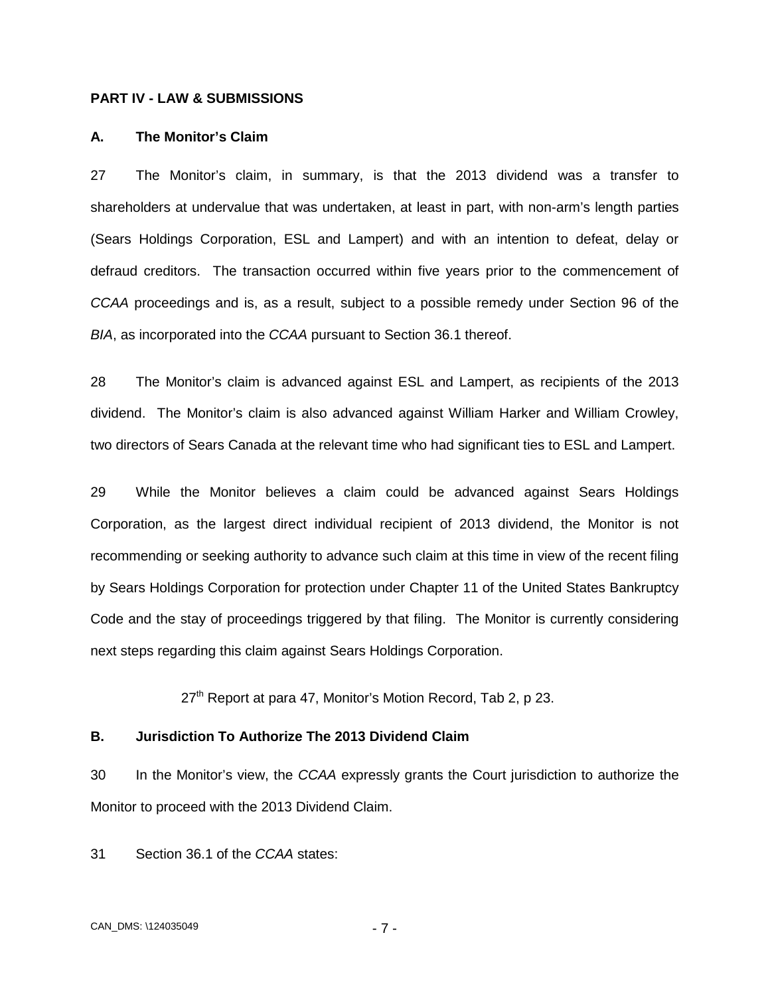### <span id="page-9-0"></span>**PART IV - LAW & SUBMISSIONS**

#### <span id="page-9-1"></span>**A. The Monitor's Claim**

27 The Monitor's claim, in summary, is that the 2013 dividend was a transfer to shareholders at undervalue that was undertaken, at least in part, with non-arm's length parties (Sears Holdings Corporation, ESL and Lampert) and with an intention to defeat, delay or defraud creditors. The transaction occurred within five years prior to the commencement of *CCAA* proceedings and is, as a result, subject to a possible remedy under Section 96 of the *BIA*, as incorporated into the *CCAA* pursuant to Section 36.1 thereof.

28 The Monitor's claim is advanced against ESL and Lampert, as recipients of the 2013 dividend. The Monitor's claim is also advanced against William Harker and William Crowley, two directors of Sears Canada at the relevant time who had significant ties to ESL and Lampert.

29 While the Monitor believes a claim could be advanced against Sears Holdings Corporation, as the largest direct individual recipient of 2013 dividend, the Monitor is not recommending or seeking authority to advance such claim at this time in view of the recent filing by Sears Holdings Corporation for protection under Chapter 11 of the United States Bankruptcy Code and the stay of proceedings triggered by that filing. The Monitor is currently considering next steps regarding this claim against Sears Holdings Corporation.

 $27<sup>th</sup>$  Report at para 47, Monitor's Motion Record, Tab 2, p 23.

#### <span id="page-9-2"></span>**B. Jurisdiction To Authorize The 2013 Dividend Claim**

30 In the Monitor's view, the *CCAA* expressly grants the Court jurisdiction to authorize the Monitor to proceed with the 2013 Dividend Claim.

31 Section 36.1 of the *CCAA* states: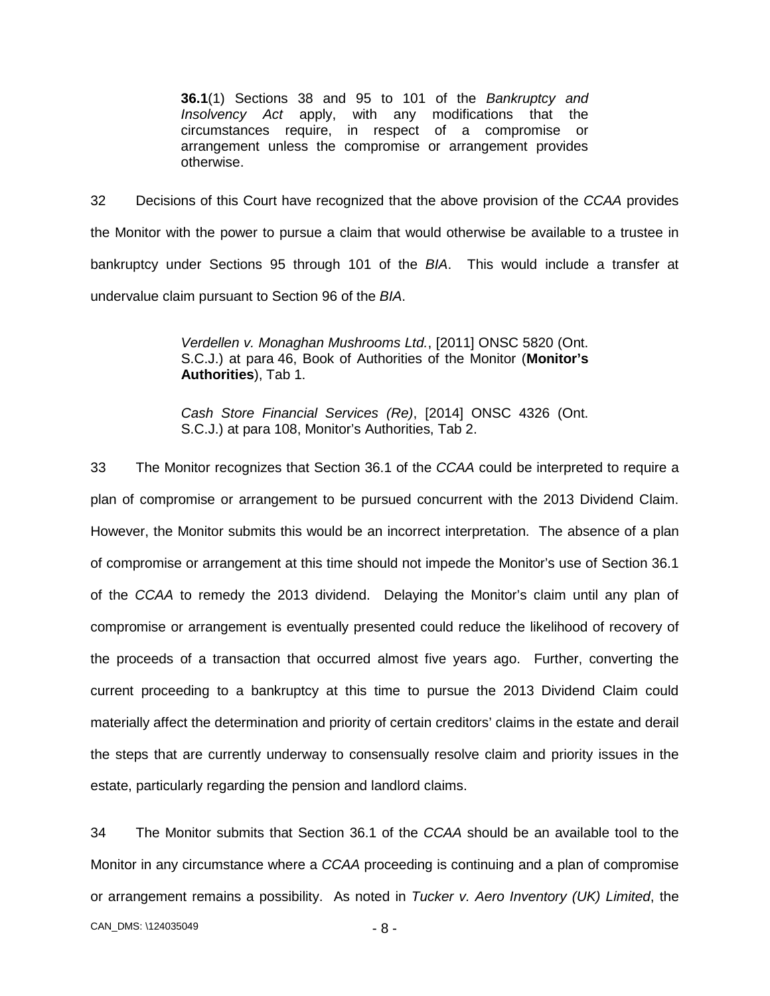**36.1**(1) Sections 38 and 95 to 101 of the *Bankruptcy and Insolvency Act* apply, with any modifications that the circumstances require, in respect of a compromise or arrangement unless the compromise or arrangement provides otherwise.

32 Decisions of this Court have recognized that the above provision of the *CCAA* provides the Monitor with the power to pursue a claim that would otherwise be available to a trustee in bankruptcy under Sections 95 through 101 of the *BIA*. This would include a transfer at undervalue claim pursuant to Section 96 of the *BIA*.

> *Verdellen v. Monaghan Mushrooms Ltd.*, [2011] ONSC 5820 (Ont. S.C.J.) at para 46, Book of Authorities of the Monitor (**Monitor's Authorities**), Tab 1.

> *Cash Store Financial Services (Re)*, [2014] ONSC 4326 (Ont. S.C.J.) at para 108, Monitor's Authorities, Tab 2.

33 The Monitor recognizes that Section 36.1 of the *CCAA* could be interpreted to require a plan of compromise or arrangement to be pursued concurrent with the 2013 Dividend Claim. However, the Monitor submits this would be an incorrect interpretation. The absence of a plan of compromise or arrangement at this time should not impede the Monitor's use of Section 36.1 of the *CCAA* to remedy the 2013 dividend. Delaying the Monitor's claim until any plan of compromise or arrangement is eventually presented could reduce the likelihood of recovery of the proceeds of a transaction that occurred almost five years ago. Further, converting the current proceeding to a bankruptcy at this time to pursue the 2013 Dividend Claim could materially affect the determination and priority of certain creditors' claims in the estate and derail the steps that are currently underway to consensually resolve claim and priority issues in the estate, particularly regarding the pension and landlord claims.

CAN\_DMS: - 8 - \124035049 34 The Monitor submits that Section 36.1 of the *CCAA* should be an available tool to the Monitor in any circumstance where a *CCAA* proceeding is continuing and a plan of compromise or arrangement remains a possibility. As noted in *Tucker v. Aero Inventory (UK) Limited*, the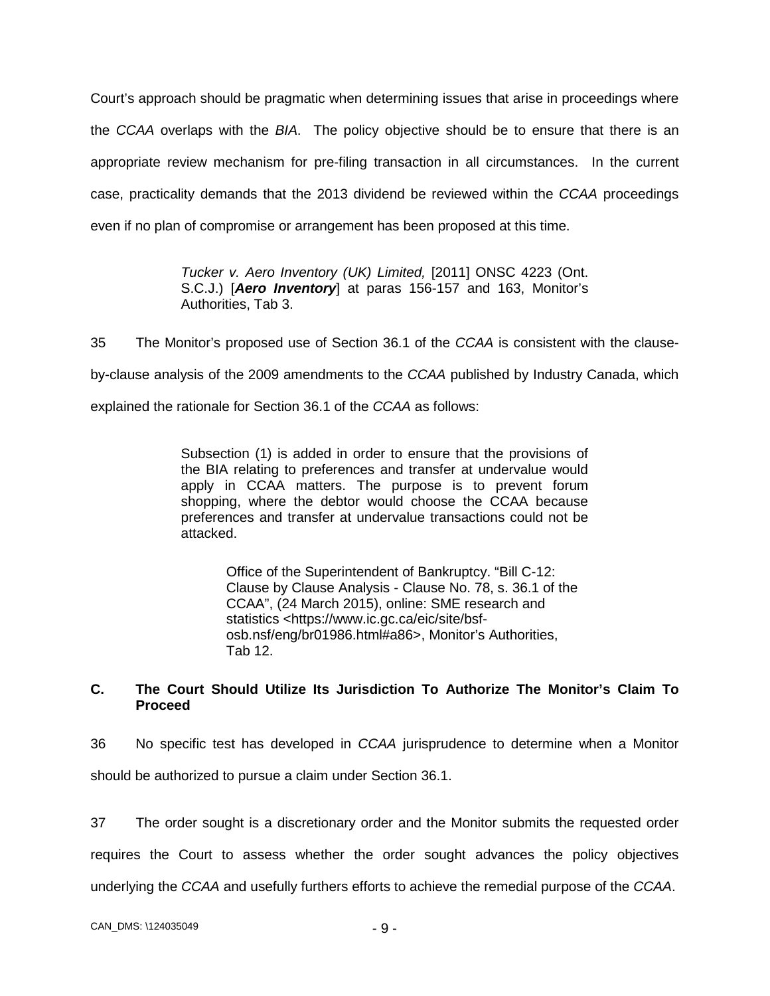Court's approach should be pragmatic when determining issues that arise in proceedings where the *CCAA* overlaps with the *BIA*. The policy objective should be to ensure that there is an appropriate review mechanism for pre-filing transaction in all circumstances. In the current case, practicality demands that the 2013 dividend be reviewed within the *CCAA* proceedings even if no plan of compromise or arrangement has been proposed at this time.

> *Tucker v. Aero Inventory (UK) Limited,* [2011] ONSC 4223 (Ont. S.C.J.) [*Aero Inventory*] at paras 156-157 and 163, Monitor's Authorities, Tab 3.

35 The Monitor's proposed use of Section 36.1 of the *CCAA* is consistent with the clauseby-clause analysis of the 2009 amendments to the *CCAA* published by Industry Canada, which explained the rationale for Section 36.1 of the *CCAA* as follows:

> Subsection (1) is added in order to ensure that the provisions of the BIA relating to preferences and transfer at undervalue would apply in CCAA matters. The purpose is to prevent forum shopping, where the debtor would choose the CCAA because preferences and transfer at undervalue transactions could not be attacked.

> > Office of the Superintendent of Bankruptcy. "Bill C-12: Clause by Clause Analysis - Clause No. 78, s. 36.1 of the CCAA", (24 March 2015), online: SME research and statistics <https://www.ic.gc.ca/eic/site/bsfosb.nsf/eng/br01986.html#a86>, Monitor's Authorities, Tab 12.

## <span id="page-11-0"></span>**C. The Court Should Utilize Its Jurisdiction To Authorize The Monitor's Claim To Proceed**

36 No specific test has developed in *CCAA* jurisprudence to determine when a Monitor should be authorized to pursue a claim under Section 36.1.

37 The order sought is a discretionary order and the Monitor submits the requested order requires the Court to assess whether the order sought advances the policy objectives underlying the *CCAA* and usefully furthers efforts to achieve the remedial purpose of the *CCAA*.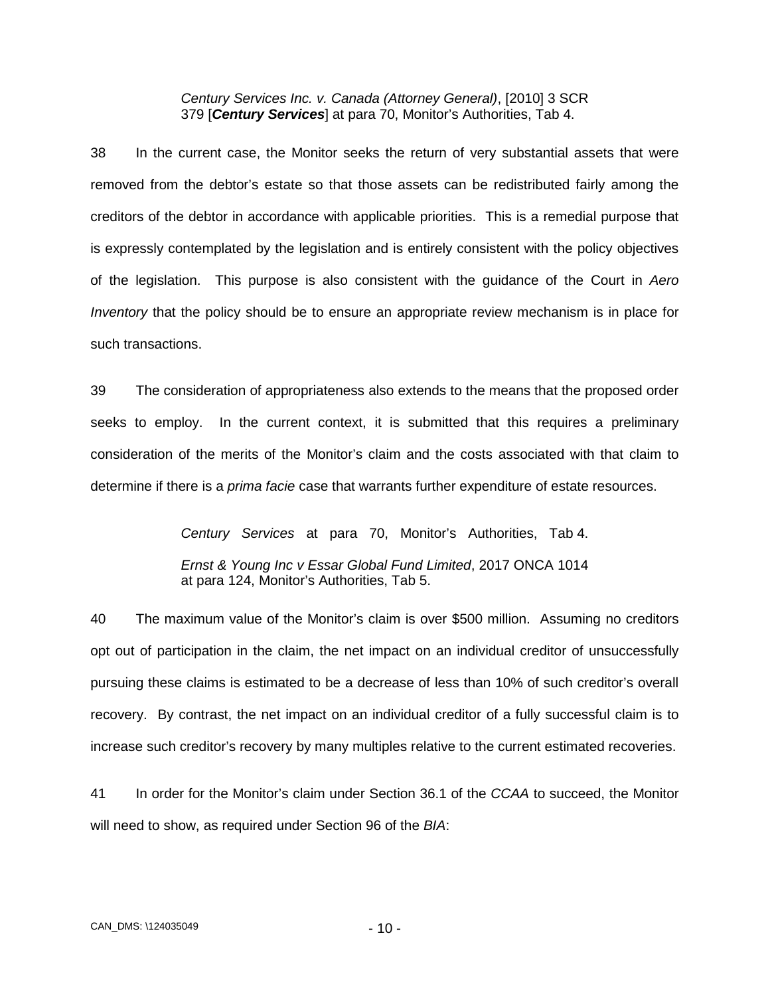*Century Services Inc. v. Canada (Attorney General)*, [2010] 3 SCR 379 [*Century Services*] at para 70, Monitor's Authorities, Tab 4.

38 In the current case, the Monitor seeks the return of very substantial assets that were removed from the debtor's estate so that those assets can be redistributed fairly among the creditors of the debtor in accordance with applicable priorities. This is a remedial purpose that is expressly contemplated by the legislation and is entirely consistent with the policy objectives of the legislation. This purpose is also consistent with the guidance of the Court in *Aero Inventory* that the policy should be to ensure an appropriate review mechanism is in place for such transactions.

39 The consideration of appropriateness also extends to the means that the proposed order seeks to employ. In the current context, it is submitted that this requires a preliminary consideration of the merits of the Monitor's claim and the costs associated with that claim to determine if there is a *prima facie* case that warrants further expenditure of estate resources.

> *Century Services* at para 70, Monitor's Authorities, Tab 4. *Ernst & Young Inc v Essar Global Fund Limited*, 2017 ONCA 1014 at para 124, Monitor's Authorities, Tab 5.

40 The maximum value of the Monitor's claim is over \$500 million. Assuming no creditors opt out of participation in the claim, the net impact on an individual creditor of unsuccessfully pursuing these claims is estimated to be a decrease of less than 10% of such creditor's overall recovery. By contrast, the net impact on an individual creditor of a fully successful claim is to increase such creditor's recovery by many multiples relative to the current estimated recoveries.

41 In order for the Monitor's claim under Section 36.1 of the *CCAA* to succeed, the Monitor will need to show, as required under Section 96 of the *BIA*: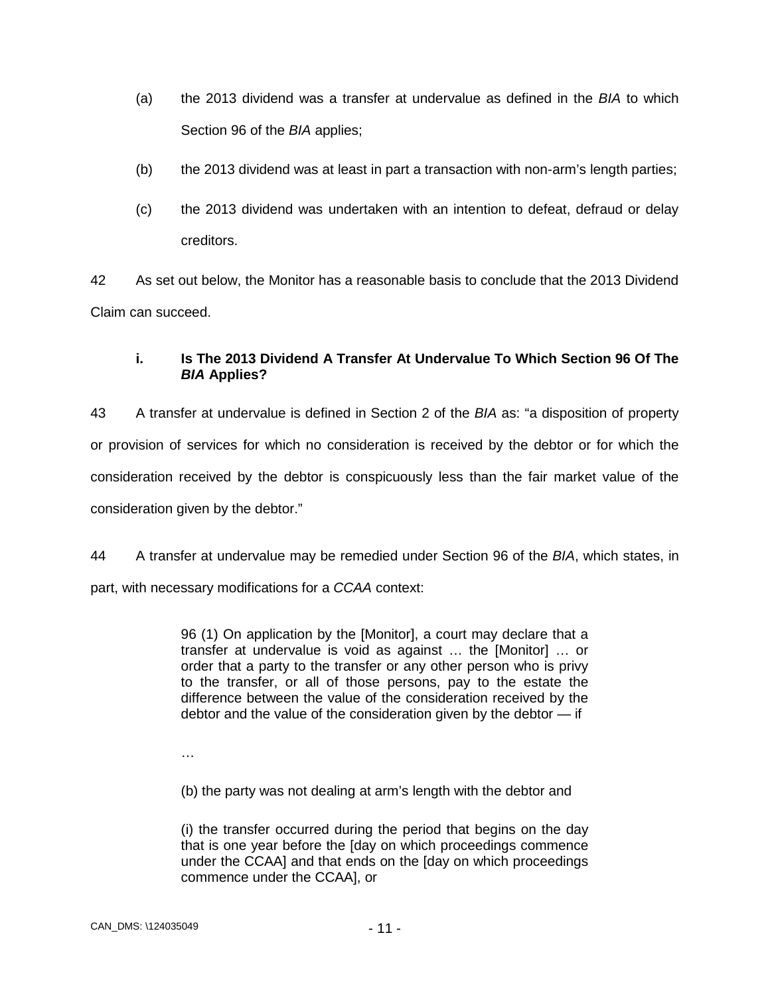- (a) the 2013 dividend was a transfer at undervalue as defined in the *BIA* to which Section 96 of the *BIA* applies;
- (b) the 2013 dividend was at least in part a transaction with non-arm's length parties;
- (c) the 2013 dividend was undertaken with an intention to defeat, defraud or delay creditors.

42 As set out below, the Monitor has a reasonable basis to conclude that the 2013 Dividend Claim can succeed.

## **i. Is The 2013 Dividend A Transfer At Undervalue To Which Section 96 Of The**  *BIA* **Applies?**

43 A transfer at undervalue is defined in Section 2 of the *BIA* as: "a disposition of property or provision of services for which no consideration is received by the debtor or for which the consideration received by the debtor is conspicuously less than the fair market value of the consideration given by the debtor."

44 A transfer at undervalue may be remedied under Section 96 of the *BIA*, which states, in part, with necessary modifications for a *CCAA* context:

> 96 (1) On application by the [Monitor], a court may declare that a transfer at undervalue is void as against … the [Monitor] … or order that a party to the transfer or any other person who is privy to the transfer, or all of those persons, pay to the estate the difference between the value of the consideration received by the debtor and the value of the consideration given by the debtor — if

…

(b) the party was not dealing at arm's length with the debtor and

(i) the transfer occurred during the period that begins on the day that is one year before the [day on which proceedings commence under the CCAA] and that ends on the [day on which proceedings commence under the CCAA], or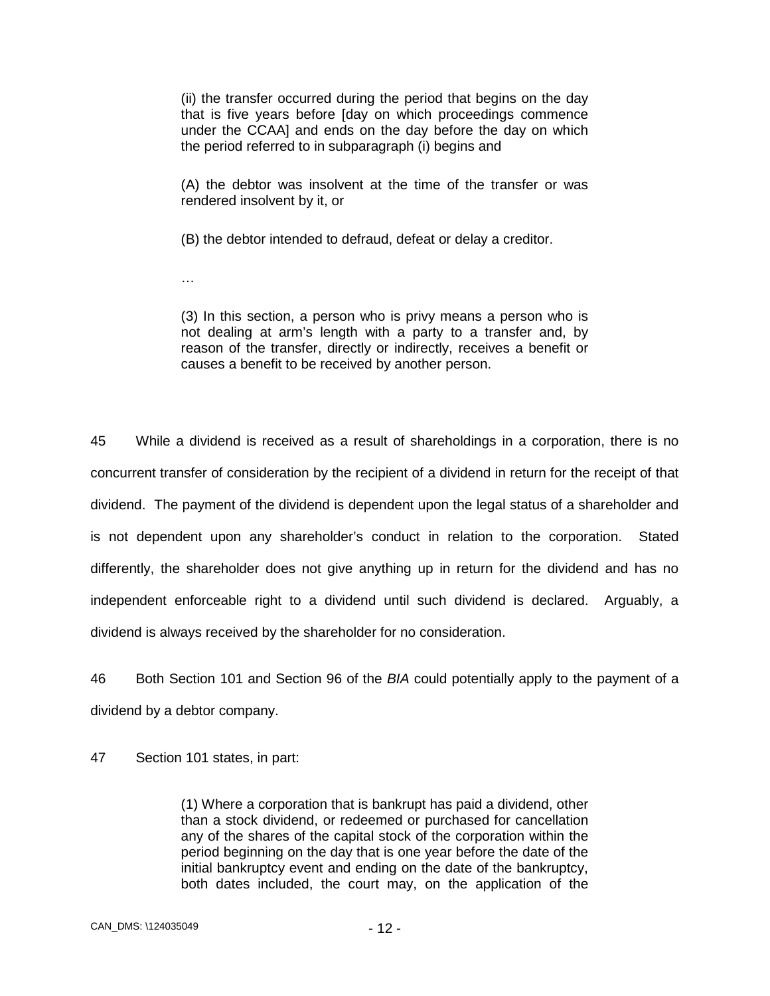(ii) the transfer occurred during the period that begins on the day that is five years before [day on which proceedings commence under the CCAA] and ends on the day before the day on which the period referred to in subparagraph (i) begins and

(A) the debtor was insolvent at the time of the transfer or was rendered insolvent by it, or

(B) the debtor intended to defraud, defeat or delay a creditor.

…

(3) In this section, a person who is privy means a person who is not dealing at arm's length with a party to a transfer and, by reason of the transfer, directly or indirectly, receives a benefit or causes a benefit to be received by another person.

45 While a dividend is received as a result of shareholdings in a corporation, there is no concurrent transfer of consideration by the recipient of a dividend in return for the receipt of that dividend. The payment of the dividend is dependent upon the legal status of a shareholder and is not dependent upon any shareholder's conduct in relation to the corporation. Stated differently, the shareholder does not give anything up in return for the dividend and has no independent enforceable right to a dividend until such dividend is declared. Arguably, a dividend is always received by the shareholder for no consideration.

46 Both Section 101 and Section 96 of the *BIA* could potentially apply to the payment of a dividend by a debtor company.

47 Section 101 states, in part:

(1) Where a corporation that is bankrupt has paid a dividend, other than a stock dividend, or redeemed or purchased for cancellation any of the shares of the capital stock of the corporation within the period beginning on the day that is one year before the date of the initial bankruptcy event and ending on the date of the bankruptcy, both dates included, the court may, on the application of the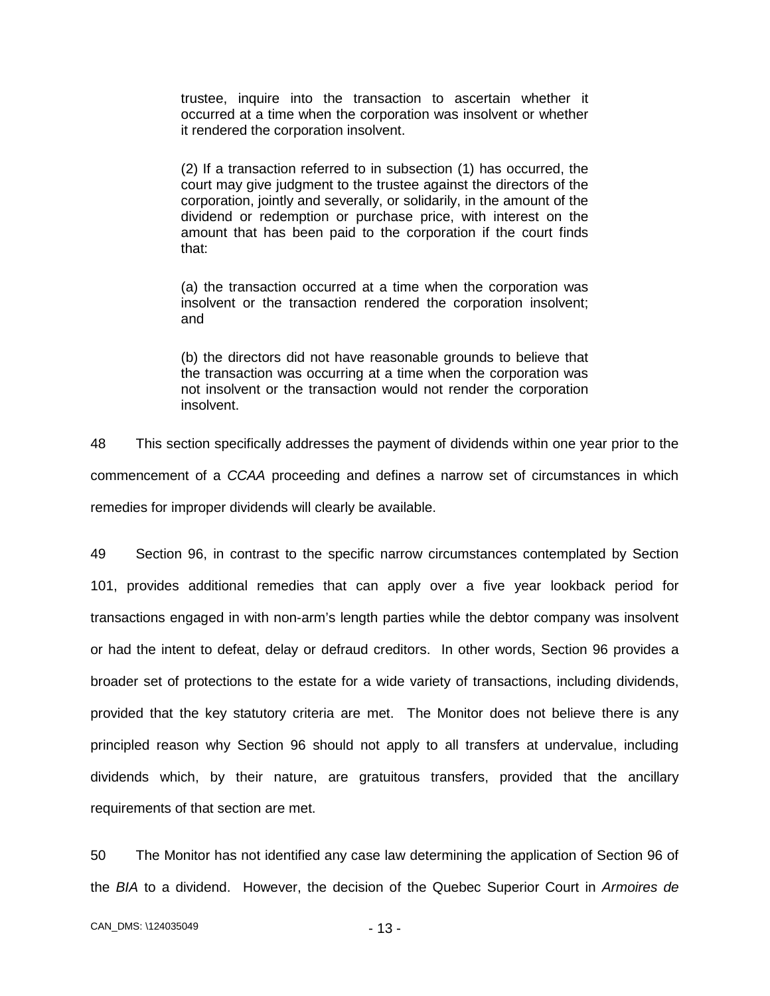trustee, inquire into the transaction to ascertain whether it occurred at a time when the corporation was insolvent or whether it rendered the corporation insolvent.

(2) If a transaction referred to in subsection (1) has occurred, the court may give judgment to the trustee against the directors of the corporation, jointly and severally, or solidarily, in the amount of the dividend or redemption or purchase price, with interest on the amount that has been paid to the corporation if the court finds that:

(a) the transaction occurred at a time when the corporation was insolvent or the transaction rendered the corporation insolvent; and

(b) the directors did not have reasonable grounds to believe that the transaction was occurring at a time when the corporation was not insolvent or the transaction would not render the corporation insolvent.

48 This section specifically addresses the payment of dividends within one year prior to the commencement of a *CCAA* proceeding and defines a narrow set of circumstances in which remedies for improper dividends will clearly be available.

49 Section 96, in contrast to the specific narrow circumstances contemplated by Section 101, provides additional remedies that can apply over a five year lookback period for transactions engaged in with non-arm's length parties while the debtor company was insolvent or had the intent to defeat, delay or defraud creditors. In other words, Section 96 provides a broader set of protections to the estate for a wide variety of transactions, including dividends, provided that the key statutory criteria are met. The Monitor does not believe there is any principled reason why Section 96 should not apply to all transfers at undervalue, including dividends which, by their nature, are gratuitous transfers, provided that the ancillary requirements of that section are met.

50 The Monitor has not identified any case law determining the application of Section 96 of the *BIA* to a dividend. However, the decision of the Quebec Superior Court in *Armoires de*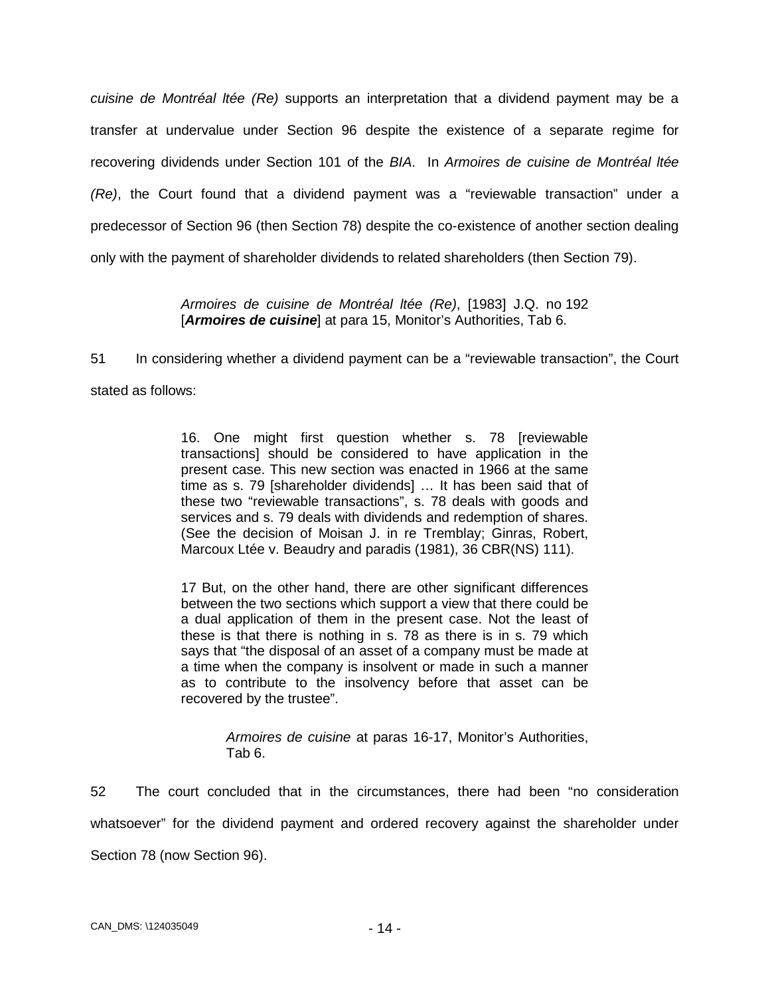*cuisine de Montréal ltée (Re)* supports an interpretation that a dividend payment may be a transfer at undervalue under Section 96 despite the existence of a separate regime for recovering dividends under Section 101 of the *BIA*. In *Armoires de cuisine de Montréal ltée (Re)*, the Court found that a dividend payment was a "reviewable transaction" under a predecessor of Section 96 (then Section 78) despite the co-existence of another section dealing only with the payment of shareholder dividends to related shareholders (then Section 79).

> *Armoires de cuisine de Montréal ltée (Re)*, [1983] J.Q. no 192 [**Armoires de cuisine**] at para 15, Monitor's Authorities, Tab 6.

51 In considering whether a dividend payment can be a "reviewable transaction", the Court stated as follows:

> 16. One might first question whether s. 78 [reviewable transactions] should be considered to have application in the present case. This new section was enacted in 1966 at the same time as s. 79 [shareholder dividends] … It has been said that of these two "reviewable transactions", s. 78 deals with goods and services and s. 79 deals with dividends and redemption of shares. (See the decision of Moisan J. in re Tremblay; Ginras, Robert, Marcoux Ltée v. Beaudry and paradis (1981), 36 CBR(NS) 111).

> 17 But, on the other hand, there are other significant differences between the two sections which support a view that there could be a dual application of them in the present case. Not the least of these is that there is nothing in s. 78 as there is in s. 79 which says that "the disposal of an asset of a company must be made at a time when the company is insolvent or made in such a manner as to contribute to the insolvency before that asset can be recovered by the trustee".

> > *Armoires de cuisine* at paras 16-17, Monitor's Authorities, Tab 6.

52 The court concluded that in the circumstances, there had been "no consideration whatsoever" for the dividend payment and ordered recovery against the shareholder under Section 78 (now Section 96).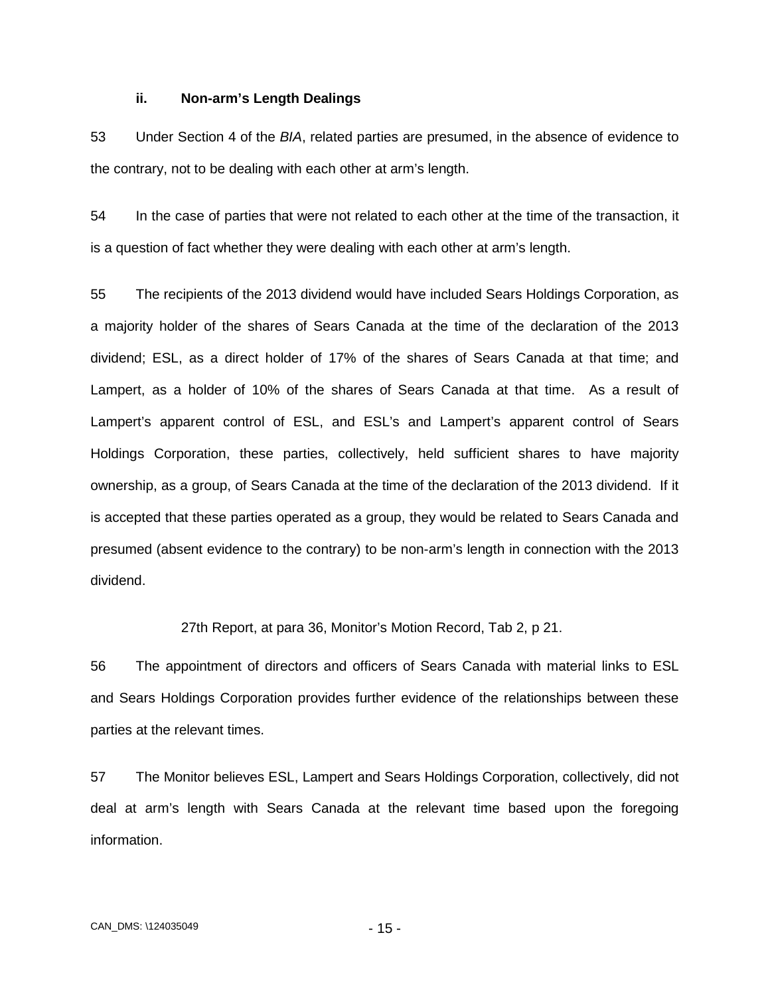#### **ii. Non-arm's Length Dealings**

53 Under Section 4 of the *BIA*, related parties are presumed, in the absence of evidence to the contrary, not to be dealing with each other at arm's length.

54 In the case of parties that were not related to each other at the time of the transaction, it is a question of fact whether they were dealing with each other at arm's length.

55 The recipients of the 2013 dividend would have included Sears Holdings Corporation, as a majority holder of the shares of Sears Canada at the time of the declaration of the 2013 dividend; ESL, as a direct holder of 17% of the shares of Sears Canada at that time; and Lampert, as a holder of 10% of the shares of Sears Canada at that time. As a result of Lampert's apparent control of ESL, and ESL's and Lampert's apparent control of Sears Holdings Corporation, these parties, collectively, held sufficient shares to have majority ownership, as a group, of Sears Canada at the time of the declaration of the 2013 dividend. If it is accepted that these parties operated as a group, they would be related to Sears Canada and presumed (absent evidence to the contrary) to be non-arm's length in connection with the 2013 dividend.

27th Report, at para 36, Monitor's Motion Record, Tab 2, p 21.

56 The appointment of directors and officers of Sears Canada with material links to ESL and Sears Holdings Corporation provides further evidence of the relationships between these parties at the relevant times.

57 The Monitor believes ESL, Lampert and Sears Holdings Corporation, collectively, did not deal at arm's length with Sears Canada at the relevant time based upon the foregoing information.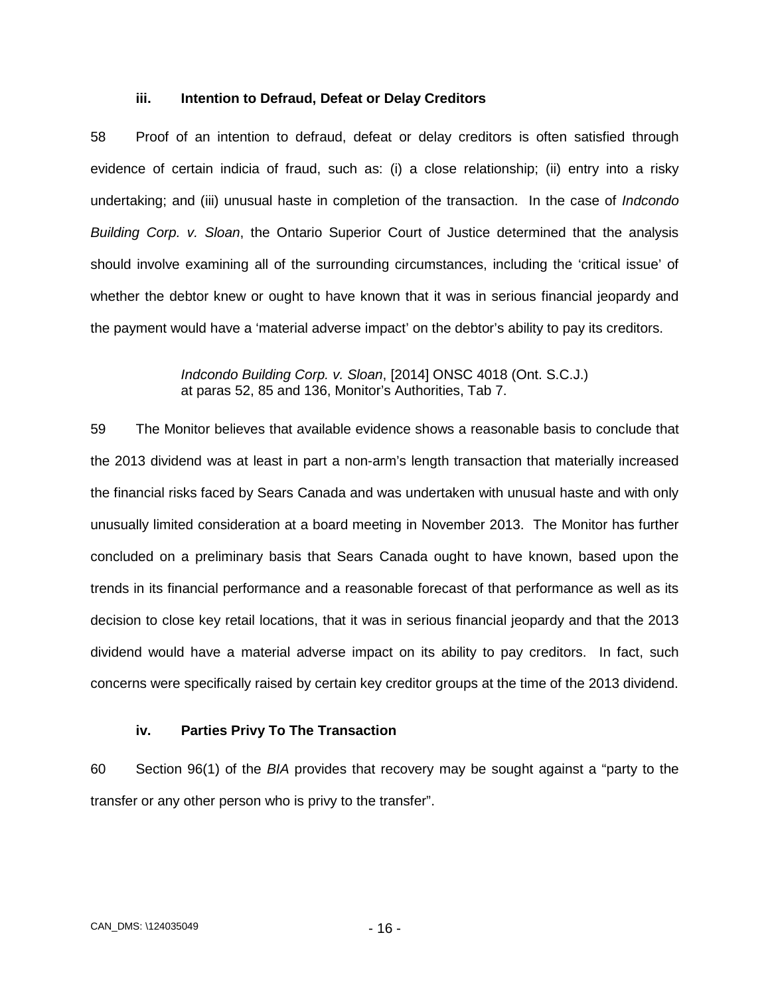#### **iii. Intention to Defraud, Defeat or Delay Creditors**

58 Proof of an intention to defraud, defeat or delay creditors is often satisfied through evidence of certain indicia of fraud, such as: (i) a close relationship; (ii) entry into a risky undertaking; and (iii) unusual haste in completion of the transaction. In the case of *Indcondo Building Corp. v. Sloan*, the Ontario Superior Court of Justice determined that the analysis should involve examining all of the surrounding circumstances, including the 'critical issue' of whether the debtor knew or ought to have known that it was in serious financial jeopardy and the payment would have a 'material adverse impact' on the debtor's ability to pay its creditors.

> *Indcondo Building Corp. v. Sloan*, [2014] ONSC 4018 (Ont. S.C.J.) at paras 52, 85 and 136, Monitor's Authorities, Tab 7.

59 The Monitor believes that available evidence shows a reasonable basis to conclude that the 2013 dividend was at least in part a non-arm's length transaction that materially increased the financial risks faced by Sears Canada and was undertaken with unusual haste and with only unusually limited consideration at a board meeting in November 2013. The Monitor has further concluded on a preliminary basis that Sears Canada ought to have known, based upon the trends in its financial performance and a reasonable forecast of that performance as well as its decision to close key retail locations, that it was in serious financial jeopardy and that the 2013 dividend would have a material adverse impact on its ability to pay creditors. In fact, such concerns were specifically raised by certain key creditor groups at the time of the 2013 dividend.

#### **iv. Parties Privy To The Transaction**

60 Section 96(1) of the *BIA* provides that recovery may be sought against a "party to the transfer or any other person who is privy to the transfer".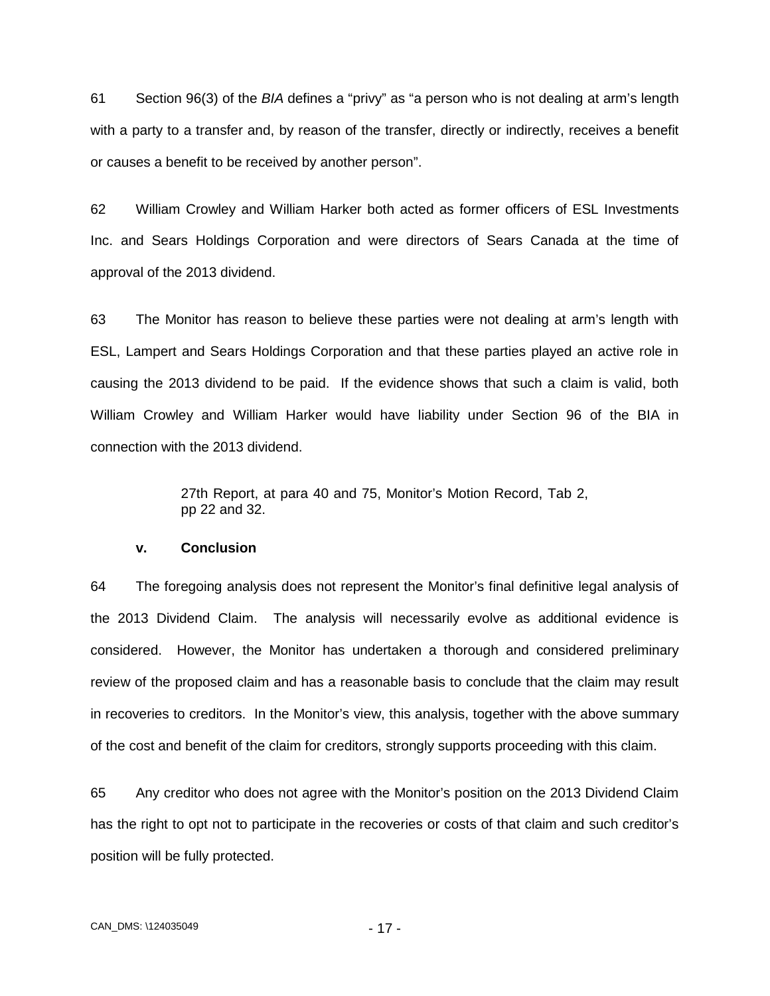61 Section 96(3) of the *BIA* defines a "privy" as "a person who is not dealing at arm's length with a party to a transfer and, by reason of the transfer, directly or indirectly, receives a benefit or causes a benefit to be received by another person".

62 William Crowley and William Harker both acted as former officers of ESL Investments Inc. and Sears Holdings Corporation and were directors of Sears Canada at the time of approval of the 2013 dividend.

63 The Monitor has reason to believe these parties were not dealing at arm's length with ESL, Lampert and Sears Holdings Corporation and that these parties played an active role in causing the 2013 dividend to be paid. If the evidence shows that such a claim is valid, both William Crowley and William Harker would have liability under Section 96 of the BIA in connection with the 2013 dividend.

> 27th Report, at para 40 and 75, Monitor's Motion Record, Tab 2, pp 22 and 32.

#### **v. Conclusion**

64 The foregoing analysis does not represent the Monitor's final definitive legal analysis of the 2013 Dividend Claim. The analysis will necessarily evolve as additional evidence is considered. However, the Monitor has undertaken a thorough and considered preliminary review of the proposed claim and has a reasonable basis to conclude that the claim may result in recoveries to creditors. In the Monitor's view, this analysis, together with the above summary of the cost and benefit of the claim for creditors, strongly supports proceeding with this claim.

65 Any creditor who does not agree with the Monitor's position on the 2013 Dividend Claim has the right to opt not to participate in the recoveries or costs of that claim and such creditor's position will be fully protected.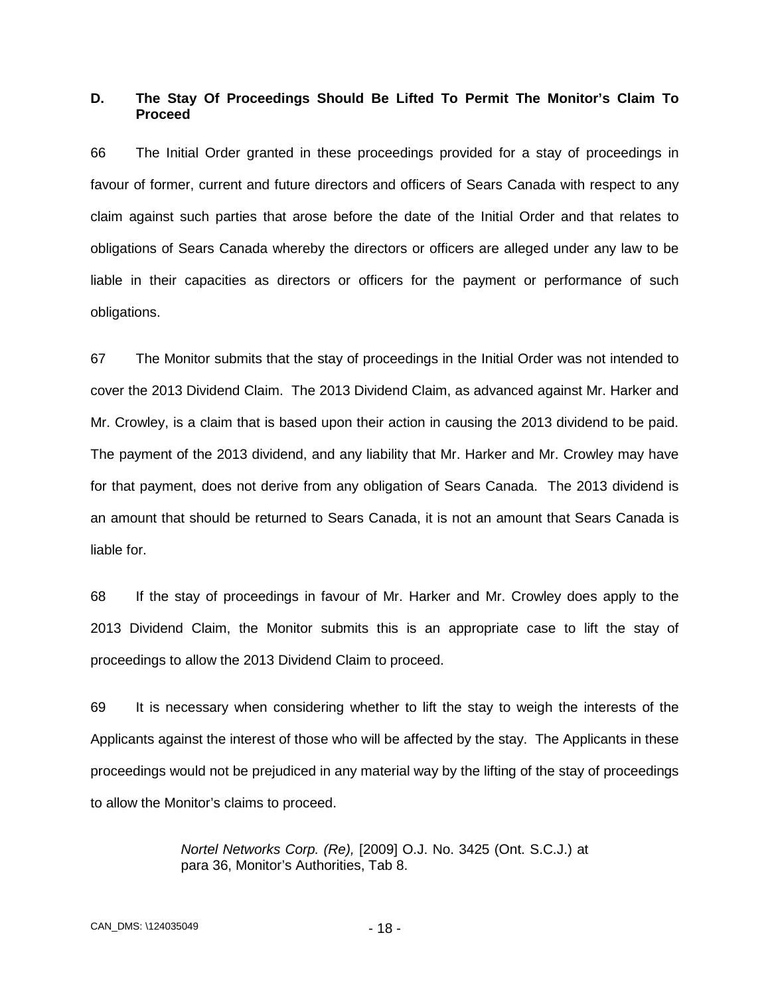## <span id="page-20-0"></span>**D. The Stay Of Proceedings Should Be Lifted To Permit The Monitor's Claim To Proceed**

66 The Initial Order granted in these proceedings provided for a stay of proceedings in favour of former, current and future directors and officers of Sears Canada with respect to any claim against such parties that arose before the date of the Initial Order and that relates to obligations of Sears Canada whereby the directors or officers are alleged under any law to be liable in their capacities as directors or officers for the payment or performance of such obligations.

67 The Monitor submits that the stay of proceedings in the Initial Order was not intended to cover the 2013 Dividend Claim. The 2013 Dividend Claim, as advanced against Mr. Harker and Mr. Crowley, is a claim that is based upon their action in causing the 2013 dividend to be paid. The payment of the 2013 dividend, and any liability that Mr. Harker and Mr. Crowley may have for that payment, does not derive from any obligation of Sears Canada. The 2013 dividend is an amount that should be returned to Sears Canada, it is not an amount that Sears Canada is liable for.

68 If the stay of proceedings in favour of Mr. Harker and Mr. Crowley does apply to the 2013 Dividend Claim, the Monitor submits this is an appropriate case to lift the stay of proceedings to allow the 2013 Dividend Claim to proceed.

69 It is necessary when considering whether to lift the stay to weigh the interests of the Applicants against the interest of those who will be affected by the stay. The Applicants in these proceedings would not be prejudiced in any material way by the lifting of the stay of proceedings to allow the Monitor's claims to proceed.

> *Nortel Networks Corp. (Re),* [2009] O.J. No. 3425 (Ont. S.C.J.) at para 36, Monitor's Authorities, Tab 8.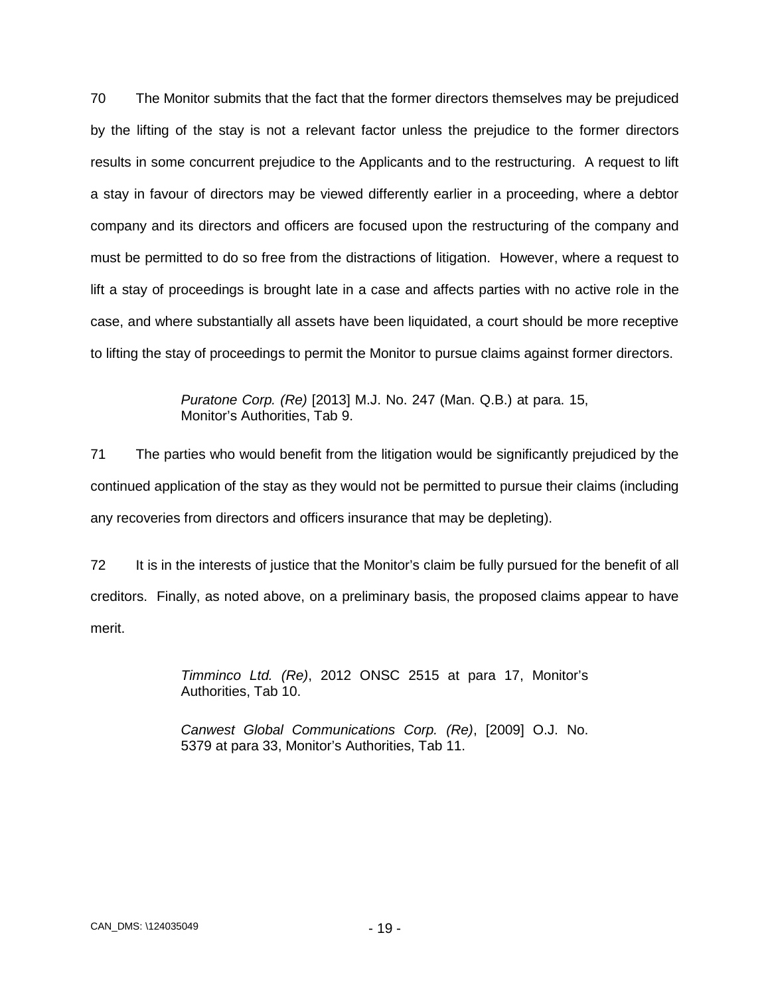70 The Monitor submits that the fact that the former directors themselves may be prejudiced by the lifting of the stay is not a relevant factor unless the prejudice to the former directors results in some concurrent prejudice to the Applicants and to the restructuring. A request to lift a stay in favour of directors may be viewed differently earlier in a proceeding, where a debtor company and its directors and officers are focused upon the restructuring of the company and must be permitted to do so free from the distractions of litigation. However, where a request to lift a stay of proceedings is brought late in a case and affects parties with no active role in the case, and where substantially all assets have been liquidated, a court should be more receptive to lifting the stay of proceedings to permit the Monitor to pursue claims against former directors.

> *Puratone Corp. (Re)* [2013] M.J. No. 247 (Man. Q.B.) at para. 15, Monitor's Authorities, Tab 9.

71 The parties who would benefit from the litigation would be significantly prejudiced by the continued application of the stay as they would not be permitted to pursue their claims (including any recoveries from directors and officers insurance that may be depleting).

72 It is in the interests of justice that the Monitor's claim be fully pursued for the benefit of all creditors. Finally, as noted above, on a preliminary basis, the proposed claims appear to have merit.

> *Timminco Ltd. (Re)*, 2012 ONSC 2515 at para 17, Monitor's Authorities, Tab 10.

> *Canwest Global Communications Corp. (Re)*, [2009] O.J. No. 5379 at para 33, Monitor's Authorities, Tab 11.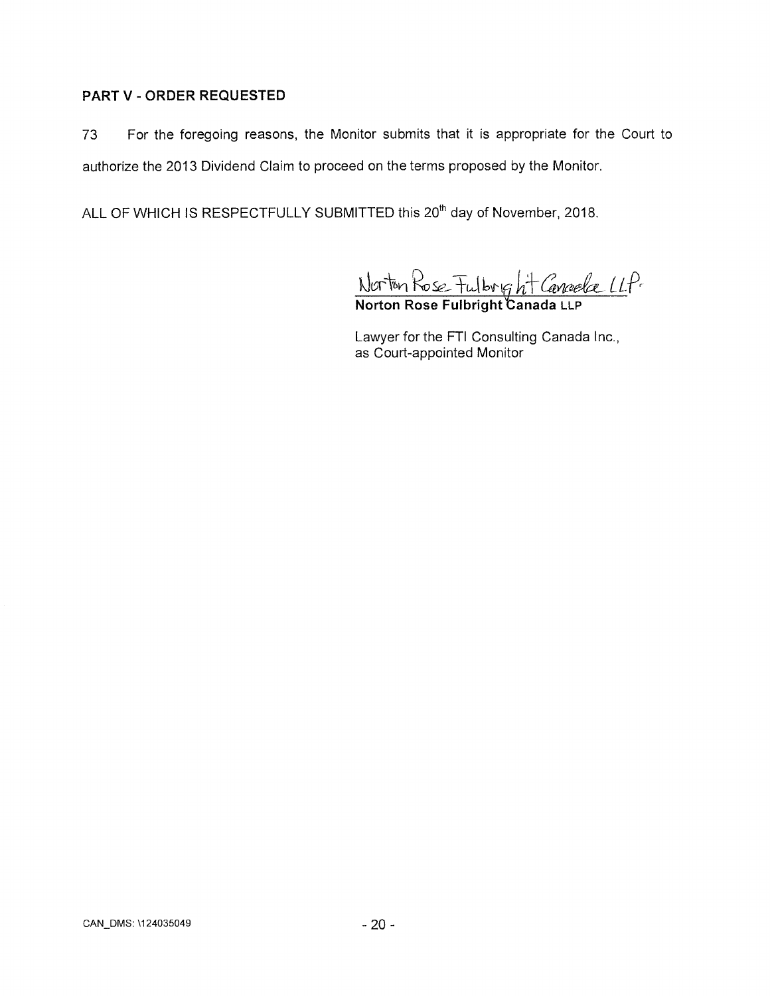# **PART V - ORDER REQUESTED**

73 For the foregoing reasons, the Monitor submits that it is appropriate for the Court to authorize the 2013 Dividend Claim to proceed on the terms proposed by the Monitor.

ALL OF WHICH IS RESPECTFULLY SUBMITTED this 20<sup>th</sup> day of November, 2018.

**dam~~bli PoSc,..- -+-LA kr`** *iitaVdr-e-*

**Norton Rose Fulbright Canada** LLP

Lawyer for the FTI Consulting Canada Inc., as Court-appointed Monitor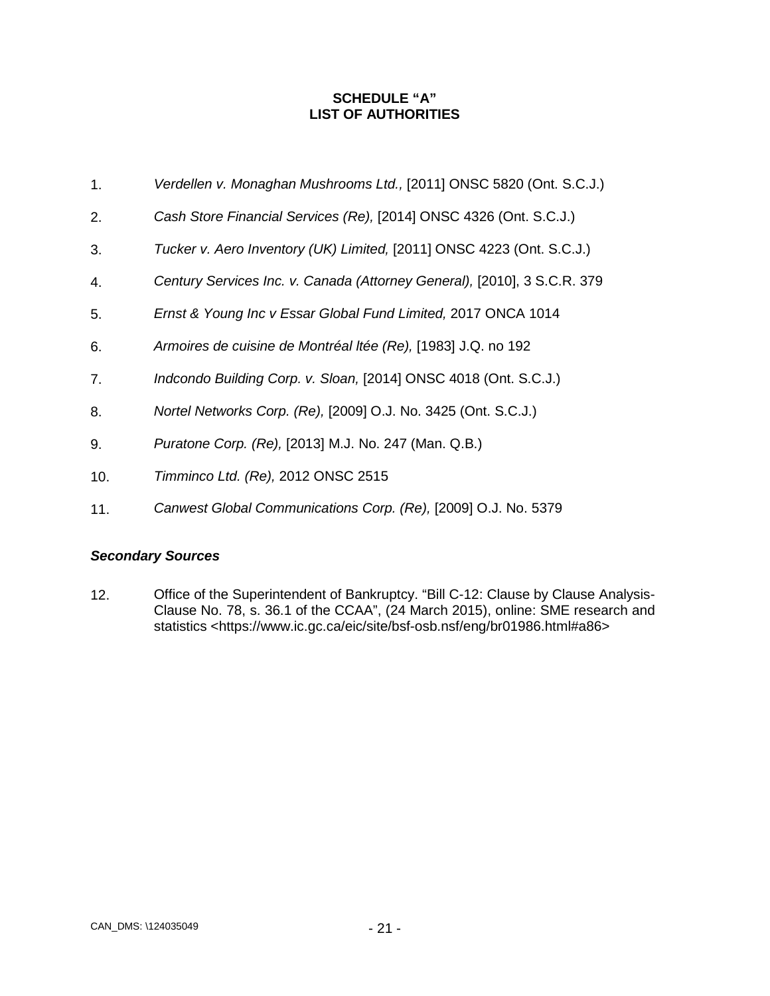## **SCHEDULE "A" LIST OF AUTHORITIES**

- <span id="page-23-0"></span>1. *Verdellen v. Monaghan Mushrooms Ltd.,* [2011] ONSC 5820 (Ont. S.C.J.)
- 2. *Cash Store Financial Services (Re),* [2014] ONSC 4326 (Ont. S.C.J.)
- 3. *Tucker v. Aero Inventory (UK) Limited,* [2011] ONSC 4223 (Ont. S.C.J.)
- 4. *Century Services Inc. v. Canada (Attorney General),* [2010], 3 S.C.R. 379
- 5. *Ernst & Young Inc v Essar Global Fund Limited,* 2017 ONCA 1014
- 6. *Armoires de cuisine de Montréal ltée (Re),* [1983] J.Q. no 192
- 7. *Indcondo Building Corp. v. Sloan,* [2014] ONSC 4018 (Ont. S.C.J.)
- 8. *Nortel Networks Corp. (Re),* [2009] O.J. No. 3425 (Ont. S.C.J.)
- 9. *Puratone Corp. (Re),* [2013] M.J. No. 247 (Man. Q.B.)
- 10. *Timminco Ltd. (Re),* 2012 ONSC 2515
- 11. *Canwest Global Communications Corp. (Re),* [2009] O.J. No. 5379

## *Secondary Sources*

12. Office of the Superintendent of Bankruptcy. "Bill C-12: Clause by Clause Analysis-Clause No. 78, s. 36.1 of the CCAA", (24 March 2015), online: SME research and statistics <https://www.ic.gc.ca/eic/site/bsf-osb.nsf/eng/br01986.html#a86>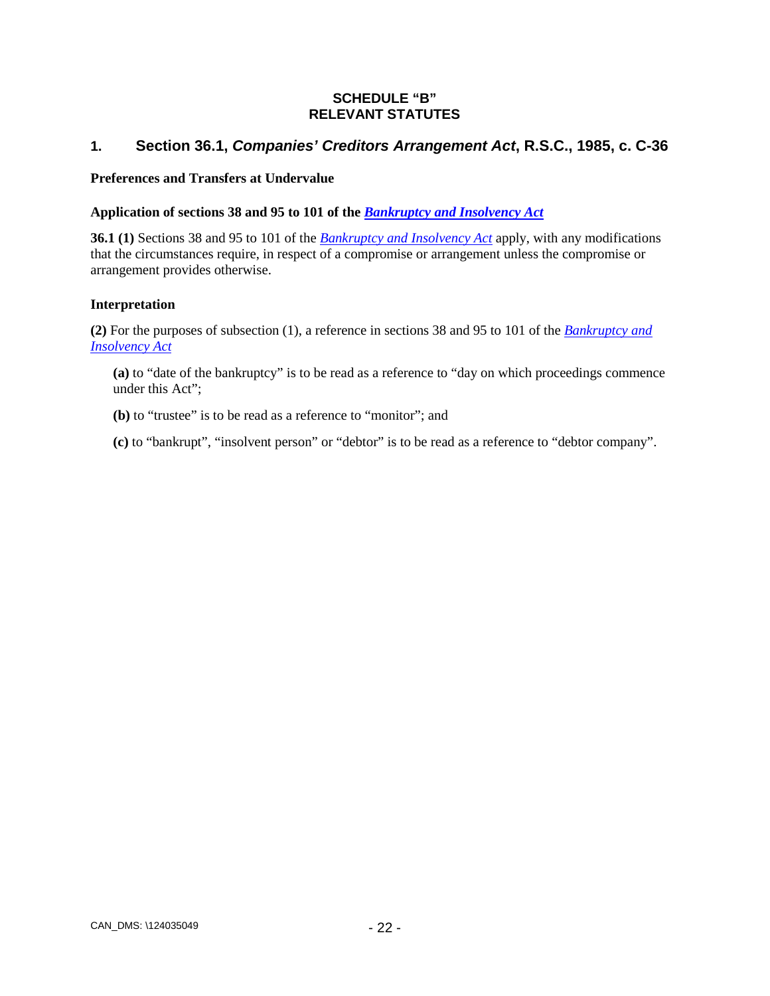## **SCHEDULE "B" RELEVANT STATUTES**

# <span id="page-24-0"></span>**1. Section 36.1,** *Companies' Creditors Arrangement Act***, R.S.C., 1985, c. C-36**

#### **Preferences and Transfers at Undervalue**

### **Application of sections 38 and 95 to 101 of the** *[Bankruptcy and Insolvency Act](https://laws-lois.justice.gc.ca/eng/acts/B-3)*

**36.1 (1)** Sections 38 and 95 to 101 of the *[Bankruptcy and Insolvency Act](https://laws-lois.justice.gc.ca/eng/acts/B-3)* apply, with any modifications that the circumstances require, in respect of a compromise or arrangement unless the compromise or arrangement provides otherwise.

#### **Interpretation**

**(2)** For the purposes of subsection (1), a reference in sections 38 and 95 to 101 of the *[Bankruptcy and](https://laws-lois.justice.gc.ca/eng/acts/B-3)  [Insolvency Act](https://laws-lois.justice.gc.ca/eng/acts/B-3)*

**(a)** to "date of the bankruptcy" is to be read as a reference to "day on which proceedings commence under this Act";

**(b)** to "trustee" is to be read as a reference to "monitor"; and

**(c)** to "bankrupt", "insolvent person" or "debtor" is to be read as a reference to "debtor company".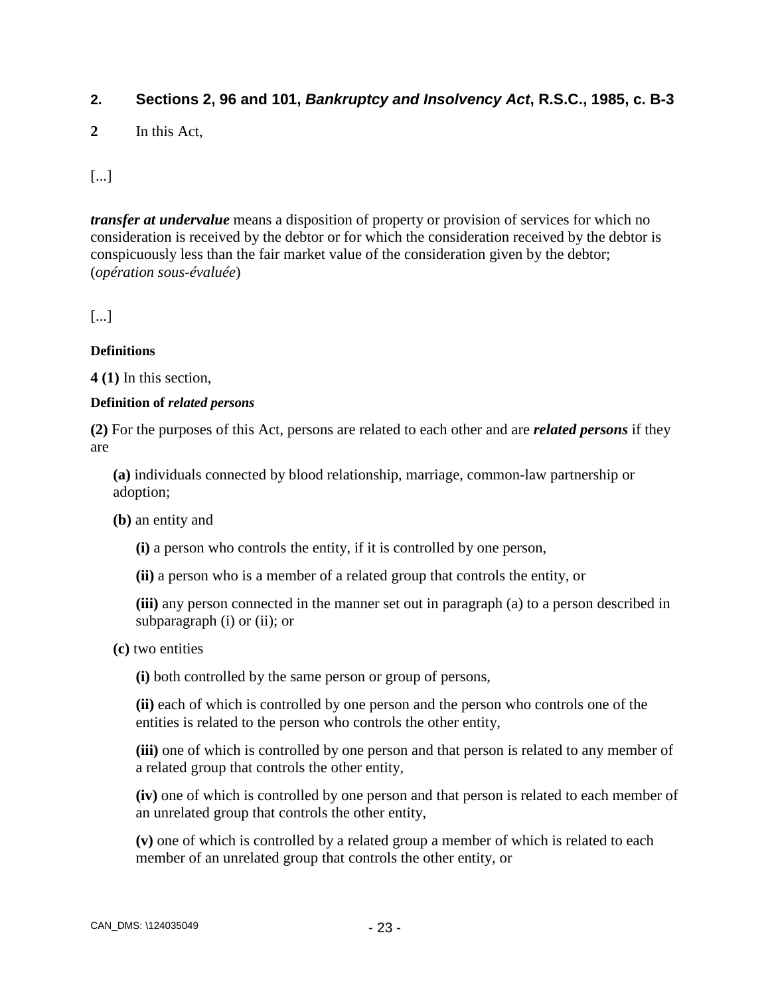# **2. Sections 2, 96 and 101,** *Bankruptcy and Insolvency Act***, R.S.C., 1985, c. B-3**

**2** In this Act,

[...]

*transfer at undervalue* means a disposition of property or provision of services for which no consideration is received by the debtor or for which the consideration received by the debtor is conspicuously less than the fair market value of the consideration given by the debtor; (*opération sous-évaluée*)

[...]

## **Definitions**

**4 (1)** In this section,

### **Definition of** *related persons*

**(2)** For the purposes of this Act, persons are related to each other and are *related persons* if they are

**(a)** individuals connected by blood relationship, marriage, common-law partnership or adoption;

**(b)** an entity and

**(i)** a person who controls the entity, if it is controlled by one person,

**(ii)** a person who is a member of a related group that controls the entity, or

**(iii)** any person connected in the manner set out in paragraph (a) to a person described in subparagraph (i) or (ii); or

**(c)** two entities

**(i)** both controlled by the same person or group of persons,

**(ii)** each of which is controlled by one person and the person who controls one of the entities is related to the person who controls the other entity,

**(iii)** one of which is controlled by one person and that person is related to any member of a related group that controls the other entity,

**(iv)** one of which is controlled by one person and that person is related to each member of an unrelated group that controls the other entity,

**(v)** one of which is controlled by a related group a member of which is related to each member of an unrelated group that controls the other entity, or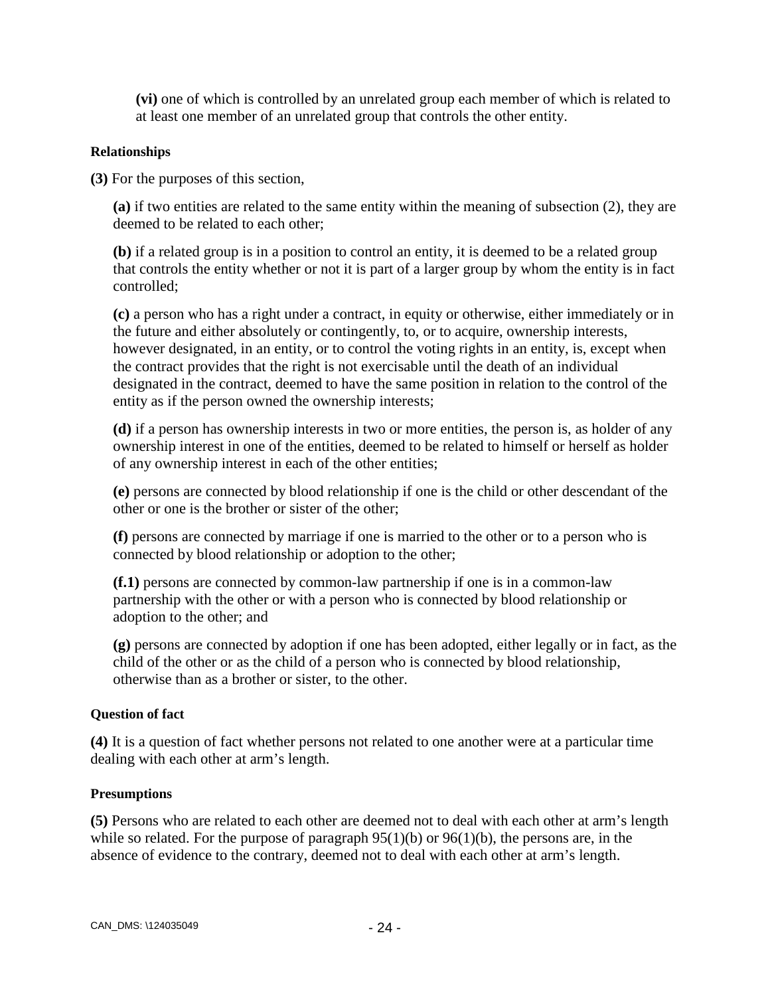**(vi)** one of which is controlled by an unrelated group each member of which is related to at least one member of an unrelated group that controls the other entity.

# **Relationships**

**(3)** For the purposes of this section,

**(a)** if two entities are related to the same entity within the meaning of subsection (2), they are deemed to be related to each other;

**(b)** if a related group is in a position to control an entity, it is deemed to be a related group that controls the entity whether or not it is part of a larger group by whom the entity is in fact controlled;

**(c)** a person who has a right under a contract, in equity or otherwise, either immediately or in the future and either absolutely or contingently, to, or to acquire, ownership interests, however designated, in an entity, or to control the voting rights in an entity, is, except when the contract provides that the right is not exercisable until the death of an individual designated in the contract, deemed to have the same position in relation to the control of the entity as if the person owned the ownership interests;

**(d)** if a person has ownership interests in two or more entities, the person is, as holder of any ownership interest in one of the entities, deemed to be related to himself or herself as holder of any ownership interest in each of the other entities;

**(e)** persons are connected by blood relationship if one is the child or other descendant of the other or one is the brother or sister of the other;

**(f)** persons are connected by marriage if one is married to the other or to a person who is connected by blood relationship or adoption to the other;

**(f.1)** persons are connected by common-law partnership if one is in a common-law partnership with the other or with a person who is connected by blood relationship or adoption to the other; and

**(g)** persons are connected by adoption if one has been adopted, either legally or in fact, as the child of the other or as the child of a person who is connected by blood relationship, otherwise than as a brother or sister, to the other.

# **Question of fact**

**(4)** It is a question of fact whether persons not related to one another were at a particular time dealing with each other at arm's length.

## **Presumptions**

**(5)** Persons who are related to each other are deemed not to deal with each other at arm's length while so related. For the purpose of paragraph  $95(1)(b)$  or  $96(1)(b)$ , the persons are, in the absence of evidence to the contrary, deemed not to deal with each other at arm's length.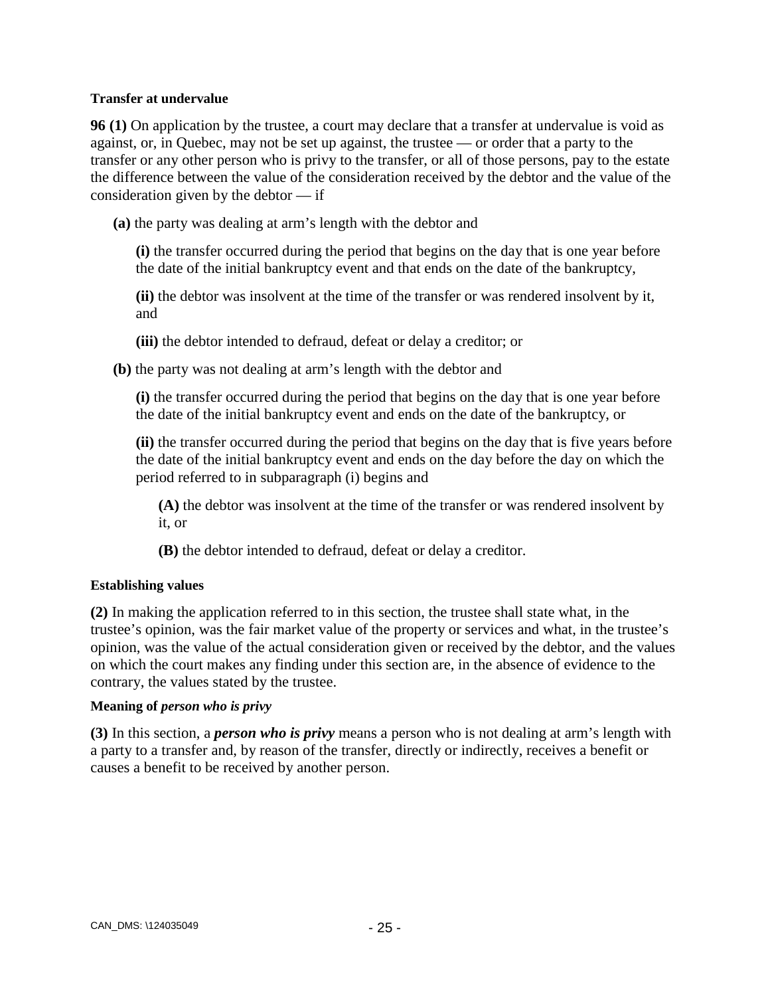### **Transfer at undervalue**

**96 (1)** On application by the trustee, a court may declare that a transfer at undervalue is void as against, or, in Quebec, may not be set up against, the trustee — or order that a party to the transfer or any other person who is privy to the transfer, or all of those persons, pay to the estate the difference between the value of the consideration received by the debtor and the value of the consideration given by the debtor — if

**(a)** the party was dealing at arm's length with the debtor and

**(i)** the transfer occurred during the period that begins on the day that is one year before the date of the initial bankruptcy event and that ends on the date of the bankruptcy,

**(ii)** the debtor was insolvent at the time of the transfer or was rendered insolvent by it, and

**(iii)** the debtor intended to defraud, defeat or delay a creditor; or

**(b)** the party was not dealing at arm's length with the debtor and

**(i)** the transfer occurred during the period that begins on the day that is one year before the date of the initial bankruptcy event and ends on the date of the bankruptcy, or

**(ii)** the transfer occurred during the period that begins on the day that is five years before the date of the initial bankruptcy event and ends on the day before the day on which the period referred to in subparagraph (i) begins and

**(A)** the debtor was insolvent at the time of the transfer or was rendered insolvent by it, or

**(B)** the debtor intended to defraud, defeat or delay a creditor.

## **Establishing values**

**(2)** In making the application referred to in this section, the trustee shall state what, in the trustee's opinion, was the fair market value of the property or services and what, in the trustee's opinion, was the value of the actual consideration given or received by the debtor, and the values on which the court makes any finding under this section are, in the absence of evidence to the contrary, the values stated by the trustee.

## **Meaning of** *person who is privy*

**(3)** In this section, a *person who is privy* means a person who is not dealing at arm's length with a party to a transfer and, by reason of the transfer, directly or indirectly, receives a benefit or causes a benefit to be received by another person.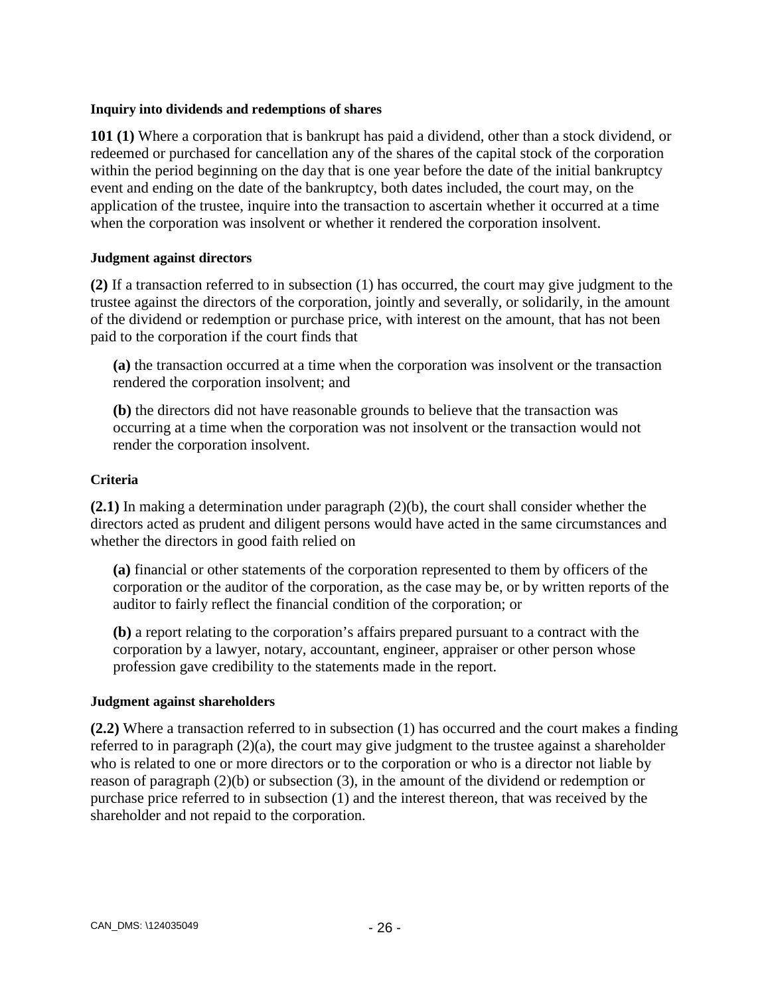#### **Inquiry into dividends and redemptions of shares**

**101 (1)** Where a corporation that is bankrupt has paid a dividend, other than a stock dividend, or redeemed or purchased for cancellation any of the shares of the capital stock of the corporation within the period beginning on the day that is one year before the date of the initial bankruptcy event and ending on the date of the bankruptcy, both dates included, the court may, on the application of the trustee, inquire into the transaction to ascertain whether it occurred at a time when the corporation was insolvent or whether it rendered the corporation insolvent.

### **Judgment against directors**

**(2)** If a transaction referred to in subsection (1) has occurred, the court may give judgment to the trustee against the directors of the corporation, jointly and severally, or solidarily, in the amount of the dividend or redemption or purchase price, with interest on the amount, that has not been paid to the corporation if the court finds that

**(a)** the transaction occurred at a time when the corporation was insolvent or the transaction rendered the corporation insolvent; and

**(b)** the directors did not have reasonable grounds to believe that the transaction was occurring at a time when the corporation was not insolvent or the transaction would not render the corporation insolvent.

### **Criteria**

**(2.1)** In making a determination under paragraph (2)(b), the court shall consider whether the directors acted as prudent and diligent persons would have acted in the same circumstances and whether the directors in good faith relied on

**(a)** financial or other statements of the corporation represented to them by officers of the corporation or the auditor of the corporation, as the case may be, or by written reports of the auditor to fairly reflect the financial condition of the corporation; or

**(b)** a report relating to the corporation's affairs prepared pursuant to a contract with the corporation by a lawyer, notary, accountant, engineer, appraiser or other person whose profession gave credibility to the statements made in the report.

## **Judgment against shareholders**

**(2.2)** Where a transaction referred to in subsection (1) has occurred and the court makes a finding referred to in paragraph (2)(a), the court may give judgment to the trustee against a shareholder who is related to one or more directors or to the corporation or who is a director not liable by reason of paragraph (2)(b) or subsection (3), in the amount of the dividend or redemption or purchase price referred to in subsection (1) and the interest thereon, that was received by the shareholder and not repaid to the corporation.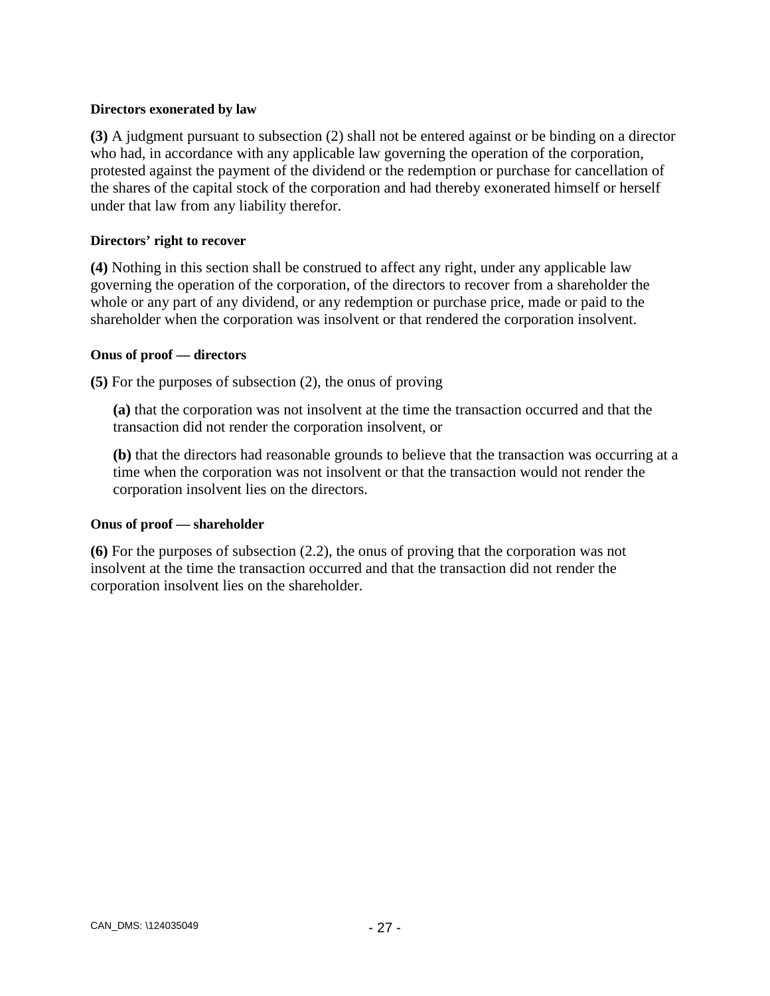### **Directors exonerated by law**

**(3)** A judgment pursuant to subsection (2) shall not be entered against or be binding on a director who had, in accordance with any applicable law governing the operation of the corporation, protested against the payment of the dividend or the redemption or purchase for cancellation of the shares of the capital stock of the corporation and had thereby exonerated himself or herself under that law from any liability therefor.

### **Directors' right to recover**

**(4)** Nothing in this section shall be construed to affect any right, under any applicable law governing the operation of the corporation, of the directors to recover from a shareholder the whole or any part of any dividend, or any redemption or purchase price, made or paid to the shareholder when the corporation was insolvent or that rendered the corporation insolvent.

### **Onus of proof — directors**

**(5)** For the purposes of subsection (2), the onus of proving

**(a)** that the corporation was not insolvent at the time the transaction occurred and that the transaction did not render the corporation insolvent, or

**(b)** that the directors had reasonable grounds to believe that the transaction was occurring at a time when the corporation was not insolvent or that the transaction would not render the corporation insolvent lies on the directors.

#### **Onus of proof — shareholder**

**(6)** For the purposes of subsection (2.2), the onus of proving that the corporation was not insolvent at the time the transaction occurred and that the transaction did not render the corporation insolvent lies on the shareholder.